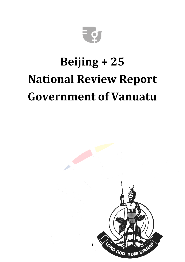

# **Beijing + 25 National Review Report Government of Vanuatu**

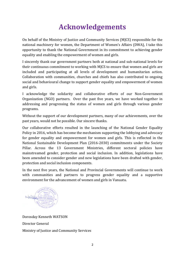# **Acknowledgements**

On behalf of the Ministry of Justice and Community Services (MJCS) responsible for the national machinery for women, the Department of Women's Affairs (DWA), I take this opportunity to thank the National Government in its commitment to achieving gender equality and enabling the empowerment of women and girls.

I sincerely thank our government partners both at national and sub-national levels for their continuous commitment to working with MJCS to ensure that women and girls are included and participating at all levels of development and humanitarian action. Collaboration with communities, churches and chiefs has also contributed to ongoing social and behavioural change to support gender equality and empowerment of women and girls.

I acknowledge the solidarity and collaborative efforts of our Non-Government Organization (NGO) partners. Over the past five years, we have worked together in addressing and progressing the status of women and girls through various gender programs.

Without the support of our development partners, many of our achievements, over the past years, would not be possible. Our sincere thanks.

Our collaborative efforts resulted in the launching of the National Gender Equality Policy in 2016, which has become the mechanism supporting the lobbying and advocacy for gender equality and empowerment for women and girls. This is reflected in the National Sustainable Development Plan (2016-2030) commitments under the Society Pillar. Across the 13 Government Ministries, different sectoral policies have mainstreamed gender, protection and social inclusion. In addition, legislations have been amended to consider gender and new legislations have been drafted with gender, protection and social inclusion components.

In the next five years, the National and Provincial Governments will continue to work with communities and partners to progress gender equality and a supportive environment for the advancement of women and girls in Vanuatu.

Dorosday Kenneth WATSON Director General Ministry of Justice and Community Services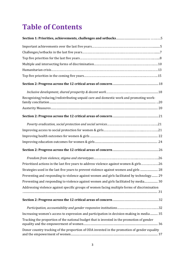# **Table of Contents**

| Recognizing/reducing/redistributing unpaid care and domestic work and promoting work-        |  |
|----------------------------------------------------------------------------------------------|--|
|                                                                                              |  |
|                                                                                              |  |
|                                                                                              |  |
|                                                                                              |  |
|                                                                                              |  |
|                                                                                              |  |
|                                                                                              |  |
|                                                                                              |  |
| Prioritized actions in the last five years to address violence against women & girls26       |  |
| Strategies used in the last five years to prevent violence against women and girls  28       |  |
| Preventing and responding to violence against women and girls facilitated by technology 29   |  |
| 20 meventing and responding to violence against women and girls facilitated by media 30      |  |
| Addressing violence against specific groups of women facing multiple forms of discrimination |  |
|                                                                                              |  |
|                                                                                              |  |
| Increasing women's access to expression and participation in decision-making in media  35    |  |
| Tracking the proportion of the national budget that is invested in the promotion of gender   |  |
| Donor country tracking of the proportion of ODA invested in the promotion of gender equality |  |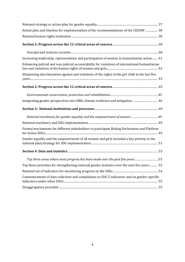<span id="page-3-0"></span>

| Action plan and timeline for implementation of the recommendations of the CEDAW  38                   |  |  |
|-------------------------------------------------------------------------------------------------------|--|--|
|                                                                                                       |  |  |
|                                                                                                       |  |  |
|                                                                                                       |  |  |
| Increasing leadership, representation and participation of women in humanitarian action 41            |  |  |
| Enhancing judicial and non-judicial accountability for violations of international humanitarian       |  |  |
| Eliminating discrimination against and violations of the rights of the girl child in the last five    |  |  |
|                                                                                                       |  |  |
|                                                                                                       |  |  |
| Integrating gender perspectives into DRR, climate resilience and mitigation  46                       |  |  |
|                                                                                                       |  |  |
| National machinery for gender equality and the empowerment of women49                                 |  |  |
|                                                                                                       |  |  |
| Formal mechanisms for different stakeholders to participate Beijing Declaration and Platform          |  |  |
| Gender equality and the empowerment of all women and girls included a key priority in the             |  |  |
|                                                                                                       |  |  |
| Top three areas where most progress has been made over the past five years53                          |  |  |
| 53  53 Top three priorities for strengthening national gender statistics over the next five years  53 |  |  |
|                                                                                                       |  |  |
| Commencement of data collection and compilation on SDG 5 indicators and on gender-specific            |  |  |
|                                                                                                       |  |  |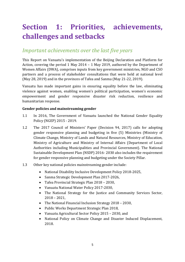# **Section 1: Priorities, achievements, challenges and setbacks**

#### <span id="page-4-0"></span>*Important achievements over the last five years*

This Report on Vanuatu's implementation of the Beijing Declaration and Platform for Action, covering the period 1 May 2014 – 1 May 2019, authored by the Department of Women Affairs (DWA), comprises inputs from key government ministries, NGO and CSO partners and a process of stakeholder consultations that were held at national level (May 28, 2019) and in the provinces of Tafea and Sanma (May 21-22, 2019).

Vanuatu has made important gains in ensuring equality before the law, eliminating violence against women, enabling women's political participation, women's economic empowerment and gender responsive disaster risk reduction, resilience and humanitarian response.

#### **Gender policies and mainstreaming gender**

- 1.1 In 2016, The Government of Vanuatu launched the National Gender Equality Policy (NGEP) 2015 - 2019.
- 1.2 The 2017 Council of Ministers' Paper (Decision 94, 2017) calls for adopting gender responsive planning and budgeting in five (5) Ministries (Ministry of Climate Change, Ministry of Lands and Natural Resources, Ministry of Education, Ministry of Agriculture and Ministry of Internal Affairs (Department of Local Authorities including Municipalities and Provincial Government). The National Sustainable Development Plan (NSDP) 2016- 2030 also includes the requirement for gender responsive planning and budgeting under the Society Pillar.
- 1.3 Other key national policies mainstreaming gender include:
	- National Disability Inclusive Development Policy 2018-2025,
	- Sanma Strategic Development Plan 2017-2026,
	- Tafea Provincial Strategic Plan 2018 2030,
	- Vanuatu National Water Policy 2017-2030,
	- The National Strategy for the Justice and Community Services Sector, 2018 – 2021,
	- The National Financial Inclusion Strategy 2018 2030,
	- Public Works Department Strategic Plan 2018,
	- Vanuatu Agricultural Sector Policy 2015 2030, and
	- National Policy on Climate Change and Disaster Induced Displacement, 2018.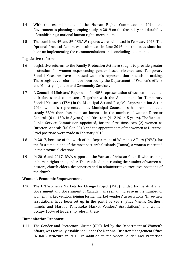- 1.4 With the establishment of the Human Rights Committee in 2014, the Government is planning a scoping study in 2019 on the feasibility and durability of establishing a national human rights mechanism.
- 1.5 The combined 4<sup>th</sup> and 5<sup>th</sup> CEDAW reports were submitted in February 2016. The Optional Protocol Report was submitted in June 2016 and the focus since has been on implementing the recommendations and concluding statements.

#### **Legislative reforms**

- 1.6 Legislative reforms to the Family Protection Act have sought to provide greater protection for women experiencing gender based violence and Temporary Special Measures have increased women's representation in decision-making. These legislative reforms have been led by the Department of Women's Affairs and Ministry of Justice and Community Services.
- 1.7 A Council of Ministers' Paper calls for 40% representation of women in national task forces and committees. Together with the Amendment for Temporary Special Measures (TSM) in the Municipal Act and People's Representation Act in 2014, women's representation as Municipal Counsellors has remained at a steady 33%; there has been an increase in the number of women Director Generals (0 to 15% in 5 years) and Directors (4 –21% in 5 years). The Vanuatu Public Service Commission appointed, for the first time, two (2) women as Director Generals (DGs) in 2018 and the appointments of the women at Directorlevel positions were made in February 2019.
- 1.8 In 2017, because of the work of the Department of Women's Affairs (DWA), for the first time in one of the most patriarchal islands (Tanna), a woman contested in the provincial elections.
- 1.9 In 2016 and 2017, DWA supported the Vanuatu Christian Council with training in human rights and gender. This resulted in increasing the number of women as pastors, church elders, deaconesses and in administrative executive positions of the church.

#### **Women's Economic Empowerment**

1.10 The UN Women's Markets for Change Project (M4C) funded by the Australian Government and Government of Canada, has seen an increase in the number of women market vendors joining formal market vendors' associations. Three new associations have been set up in the past five years (Silae Vanua, Northern Islands and Marobe Tanvasoko Market Vendors' Associations) and women occupy 100% of leadership roles in these.

#### **Humanitarian Response**

1.11 The Gender and Protection Cluster (GPC), led by the Department of Women's Affairs, was formally established under the National Disaster Management Office (NDMO) structure in 2015. In addition to the wider Gender and Protection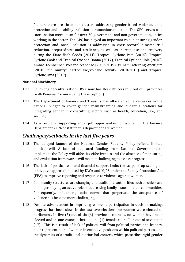Cluster, there are three sub-clusters addressing gender-based violence, child protection and disability inclusion in humanitarian action. The GPC serves as a coordination mechanism for over 20 government and non-government agencies working in the sector. The GPC has played an important role in ensuring gender, protection and social inclusion is addressed in cross-sectoral disaster risk reduction, preparedness and resilience, as well as in response and recovery during the Efate flash floods (2014), Tropical Cyclone Pam (2015), Tropical Cyclone Cook and Tropical Cyclone Donna (2017), Tropical Cyclone Hola (2018), Ambae Lombenben volcano response (2017-2019), tsunami affecting Aneityum (2018), the Ambryn earthquake/volcano activity (2018-2019) and Tropical Cyclone Oma (2019).

#### **National Machinery**

- 1.12 Following decentralization, DWA now has Desk Officers in 5 out of 6 provinces (with Penama Province being the exception).
- 1.13 The Department of Finance and Treasury has allocated some resources in the national budget to cover gender mainstreaming and budget allocations for integrating gender in crosscutting sectors such as health, education, law, and security.
- 1.14 As a result of supporting equal job opportunities for women in the Finance Department, 60% of staff in this department are women.

#### *Challenges/setbacks in the last five years*

- 1.15 The delayed launch of the National Gender Equality Policy reflects limited political will. A lack of dedicated funding from National Government to implement the Policy will affect its effectiveness and the absence of monitoring and evaluation frameworks will make it challenging to assess progress.
- 1.16 The lack of political will and financial support limits the scope of up-scaling an innovative approach piloted by DWA and MJCS under the Family Protection Act (FPA) to improve reporting and response to violence against women.
- 1.17 Community structures are changing and traditional authorities such as chiefs are no longer playing an active role in addressing family issues in their communities. Consequently, influencing social norms that perpetuate the acceptance of violence has become more challenging.
- 1.18 Despite advancement in improving women's participation in decision-making, progress has been slow. In the last two elections, no women were elected to parliament. In five (5) out of six (6) provincial councils, no women have been elected and in one council, there is one (1) female councillor out of seventeen (17). This is a result of lack of political will from political parties and leaders, poor representation of women in executive positions within political parties, and the dynamics of a traditional patriarchal context, which prescribes rigid gender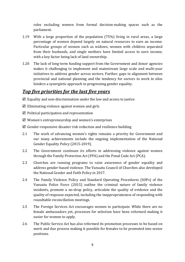roles excluding women from formal decision-making spaces such as the parliament.

- 1.19 With a large proportion of the population (75%) living in rural areas, a large percentage of women depend largely on natural resources to earn an income. Particular groups of women such as widows, women with children separated from their husbands, and single mothers have limited access to earn income, with a key factor being lack of land ownership.
- 1.20 The lack of long-term funding support from the Government and donor agencies makes it challenging to implement and mainstream large scale and multi-year initiatives to address gender across sectors. Further, gaps in alignment between provincial and national planning and the tendency for sectors to work in silos hinders a synergistic approach to progressing gender equality.

#### *Top five priorities for the last five years*

- $\boxtimes$  Equality and non-discrimination under the law and access to justice
- $\boxtimes$  Eliminating violence against women and girls
- $\boxtimes$  Political participation and representation
- $\boxtimes$  Women's entrepreneurship and women's enterprises
- $\boxtimes$  Gender-responsive disaster risk reduction and resilience building
- 2.1 The work of advancing women's rights remains a priority for Government and our many achievements include the ongoing implementation of the National Gender Equality Policy (2015-2019).
- 2.2 The Government continues its efforts in addressing violence against women through the Family Protection Act (FPA) and the Penal Code Act (PCA).
- 2.3 Churches are running programs to raise awareness of gender equality and address gender-based violence. The Vanuatu Council of Churches also developed the National Gender and Faith Policy in 2017.
- 2.4 The Family Violence Policy and Standard Operating Procedures (SOPs) of the Vanuatu Police Force (2015) outline the criminal nature of family violence incidents, promote a no-drop policy, articulate the quality of evidence and the quality of response expected, including the inappropriateness of responding with roundtable reconciliation meetings.
- 2.5 The Foreign Services Act encourages women to participate. While there are no female ambassadors yet, processes for selection have been reformed making it easier for women to apply.
- 2.6 The Public Service Act has also reformed its promotion processes to be based on merit and due process making it possible for females to be promoted into senior positions.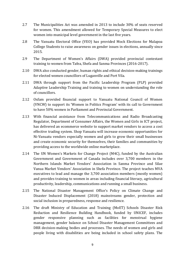- 2.7 The Municipalities Act was amended in 2013 to include 30% of seats reserved for women. This amendment allowed for Temporary Special Measures to elect women into municipal level government in the last five years.
- 2.8 The Vanuatu Electoral Office (VEO) has provided Mock Elections for Malapoa College Students to raise awareness on gender issues in elections, annually since 2015.
- 2.9 The Department of Women's Affairs (DWA) provided provincial contestant training to women from Tafea, Shefa and Sanma Provinces (2016-2017).
- 2.10 DWA also conducted gender, human rights and ethical decision-making trainings for elected women councillors of Luganville and Port Vila.
- 2.11 DWA through support from the Pacific Leadership Program (PLP) provided Adaptive Leadership Training and training to women on understanding the role of councillors.
- 2.12 Oxfam provided financial support to Vanuatu National Council of Women (VNCW) to support its 'Women in Politics Program' with its call to Government to have 50% women in Parliament and Provincial Government.
- 2.13 With financial assistance from Telecommunications and Radio Broadcasting Regulator, Department of Consumer Affairs, the Women and Girls in ICT project, has delivered an ecommerce website to support market vendors to access a cost effective trading system. Shop Vanuatu will increase economic opportunities for Ni-Vanuatu vendors especially women and girls to grow their small businesses and create economic security for themselves, their families and communities by providing access to the worldwide online marketplace.
- 2.14 The UN Women's Markets for Change Project (M4C), funded by the Australian Government and Government of Canada includes over 3,700 members in the Northern Islands Market Vendors' Association in Sanma Province and Silae Vanua Market Vendors' Association in Shefa Province. The project teaches MVA executives to lead and manage the 3,700 association members (mostly women) and provides training to women in areas including financial literacy, agricultural productivity, leadership, communications and running a small business.
- 2.15 The National Disaster Management Office's Policy on Climate Change and Disaster Induced Displacement (2018) mainstreams gender, protection and social inclusion in preparedness, response and resilience.
- 2.16 The draft Ministry of Education and Training (MoET) Schools Disaster Risk Reduction and Resilience Building Handbook, funded by UNICEF, includes gender responsive planning such as facilities for menstrual hygiene management, gender balance on School Disaster Management Committees and DRR decision-making bodies and processes. The needs of women and girls and people living with disabilities are being included in school safety plans. The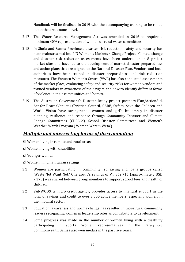Handbook will be finalised in 2019 with the accompanying training to be rolled out at the area council level.

- 2.17 The Water Resource Management Act was amended in 2016 to require a minimum 40% representation of women on rural water committees.
- 2.18 In Shefa and Sanma Provinces, disaster risk reduction, safety and security has been mainstreamed into UN Women's Markets 4 Change Project. Climate change and disaster risk reduction assessments have been undertaken in 8 project market sites and have led to the development of market disaster preparedness and action plans that are aligned to the National Disaster Plan. Vendors and local authorities have been trained in disaster preparedness and risk reduction measures. The Vanuatu Women's Centre (VWC) has also conducted assessments of the market place, evaluating safety and security risks for women vendors and trained vendors in awareness of their rights and how to identify different forms of violence in their communities and homes.
- 2.19 The Australian Government's Disaster Ready project partners Plan/ActionAid, Act for Peace/Vanuatu Christian Council, CARE, Oxfam, Save the Children and World Vision have strengthened women and girl's leadership in disaster planning, resilience and response through Community Disaster and Climate Change Committees (CDCCCs), School Disaster Committees and Women's Weather Watch Program ('Women Wetem Weta').

#### *Multiple and intersecting forms of discrimination*

- $\boxtimes$  Women living in remote and rural areas
- $\boxtimes$  Women living with disabilities
- Younger women
- $\boxtimes$  Women in humanitarian settings
- 3.1 Women are participating in community led saving and loans groups called 'Waste Not Want Not.' One group's savings of VT 852,715 (approximately USD 7,375) was shared between group members to support school fees and health of children.
- 3.2 VANWODS, a micro credit agency, provides access to financial support in the form of savings and credit to over 8,000 active members, especially women, in the informal sector.
- 3.3 Education, awareness and norms change has resulted in more rural community leaders recognizing women in leadership roles as contributors to development.
- 3.4 Some progress was made in the number of women living with a disability participating in sports. Women representatives in the Paralympic Commonwealth Games also won medals in the past five years.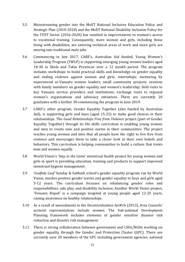- 3.5 Mainstreaming gender into the MoET National Inclusive Education Policy and Strategic Plan (2010-2020) and the MoET National Disability Inclusion Policy for the TVET Sector (2016-2020) has resulted in improvements to women's access to vocational training. Consequently, more women and girls, including those living with disabilities, are entering technical areas of work and more girls are moving into traditional male jobs.
- 3.6 Commencing in late 2017, CARE's, Australian Aid funded, Young Women's Leadership Program (YWLP) is supporting emerging young women leaders aged 18-30 in Shefa and Tafea Provinces over a 12 month period. The program includes workshops to build practical skills and knowledge on gender equality and ending violence against women and girls; internships; mentoring by experienced ni-Vanuatu women leaders; small community projects; sessions with family members on gender equality and women's leadership; field visits to key Vanuatu service providers and institutions; exchange visits to regional women's organizations and advocacy initiatives. There are currently 20 graduates with a further 30 commencing the program in June 2019.
- 3.7 CARE's, other program, Gender Equality Together (also funded by Australian Aid), is supporting girls and boys (aged 15-25) to make good choices in their relationships. The *Good Relationships Free from Violence* project (part of Gender Equality Together) through its life skills curriculum is enabling young women and men to create new and positive norms in their communities. The project teaches young women and men that all people have the right to live free from violence and encourages them to take a closer look at their own beliefs and behaviors. This curriculum is helping communities to build a culture that treats men and women equally.
- 3.8 World Vision's '*Stay in the Game'* menstrual health project for young women and girls in sport is providing education, training and products to support improved menstrual hygiene management.
- 3.9 '*Gudfala Laef'* Sunday & Sabbath school's gender equality program run by World Vision, teaches positive gender norms and gender equality to boys and girls aged 5-12 years. The curriculum focusses on rebalancing gender roles and responsibilities, safe play, and disability inclusion. Another World Vision project, *'Vanuatu Rispek'* is a campaign targeted at young people aged 12-25 years, raising awareness on healthy relationships.
- 3.10 As a result of amendments to the Decentralisation Act#16 (2013), Area Councils' sectoral representatives include women. The Sub-national Development Planning framework includes elements of gender sensitive disaster risk reduction and disaster risk management.
- 3.11 There is strong collaboration between government and CSOs/NGOs working on gender equality through the Gender and Protection Cluster (GPC). There are currently over 20 members of the GPC including government agencies, national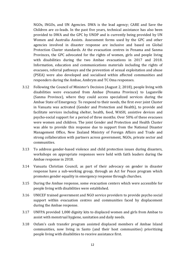NGOs, INGOs, and UN Agencies. DWA is the lead agency; CARE and Save the Children are co-leads. In the past five years, technical assistance has also been provided to DWA and the GPC by UNDP and is currently being provided by UN Women and Australia Assists. Assessment forms used by the GPC and other agencies involved in disaster response are inclusive and based on Global Protection Cluster standards. At the evacuation centres in Penama and Sanma Provinces, the GPC advocated for the rights of women, girls and people living with disabilities during the two Ambae evacuations in 2017 and 2018. Information, education and communications materials including the rights of evacuees, referral pathways and the prevention of sexual exploitation and abuse (PSEA) were also developed and socialised within affected communities and responders during the Ambae, Ambrym and TC Oma responses.

- 3.12 Following the Council of Minister's Decision (August 2, 2018), people living with disabilities were evacuated from Ambae (Penama Province) to Luganville (Sanma Province), where they could access specialized services during the Ambae State of Emergency. To respond to their needs, the first ever joint Cluster in Vanuatu was activated (Gender and Protection and Health), to provide and facilitate services including shelter, health, food, WASH, assistive devices and psycho-social support for a period of three months. Over 50% of these evacuees were women and children. The joint Gender and Protection and Health Cluster was able to provide this response due to support from the National Disaster Management Office, New Zealand Ministry of Foreign Affairs and Trade and strong collaboration with partners across government, NGOs, private sector and communities.
- 3.13 To address gender-based violence and child protection issues during disasters, workshops on appropriate responses were held with faith leaders during the Ambae response in 2018.
- 3.14 Vanuatu Christian Council, as part of their advocacy on gender in disaster response have a sub-working group, through an Act for Peace program which promotes gender equality in emergency response through churches.
- 3.15 During the Ambae response, some evacuation centers which were accessible for people living with disabilities were established.
- 3.16 UNICEF trained government and NGO service providers to provide psycho social support within evacuation centres and communities faced by displacement during the Ambae response.
- 3.17 UNFPA provided 1,000 dignity kits to displaced women and girls from Ambae to assist with menstrual hygiene, sanitation and daily needs.
- 3.18 Oxfam's cash transfer program assisted displaced members of Ambae Island communities, now living in Santo (and their host communities) prioritizing people living with disabilities to receive assistance first.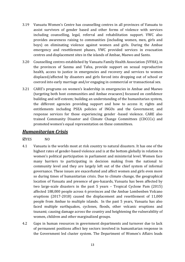- 3.19 Vanuatu Women's Centre has counselling centres in all provinces of Vanuatu to assist survivors of gender based and other forms of violence with services including counselling, legal, referral and rehabilitation support. VWC also provides awareness raising to communities (including women, men, girls and boys) on eliminating violence against women and girls. During the Ambae emergency and resettlement phases, VWC provided services in evacuation centres and displacement sites in the islands of Ambae, Maewo and Santo.
- 3.20 Counselling centres established by Vanuatu Family Health Association (VFHA), in the provinces of Sanma and Tafea, provide support on sexual reproductive health, access to justice in emergencies and recovery and services to women displaced/affected by disasters and girls forced into dropping out of school or coerced into early marriage and/or engaging in commercial or transactional sex.
- 3.21 CARE's programs on women's leadership in emergencies in Ambae and Maewo (targeting both host communities and Ambae evacuees) focussed on confidence building and self-esteem; building an understanding of the humanitarian system, the different agencies providing support and how to access it; rights and entitlements including PSEA policies of INGOs and the Government; and response services for those experiencing gender -based violence. CARE also trained Community Disaster and Climate Change Committees (CDCCCs) and promoted women's equal representation on these committees.

#### <span id="page-12-0"></span>*Humanitarian Crisis*

#### YES NO

- 4.1 Vanuatu is the worlds most at risk country to natural disasters. It has one of the highest rates of gender-based violence and is at the bottom globally in relation to women's political participation in parliament and ministerial level. Women face many barriers to participating in decision making from the national to community level and they are largely left out of the chief system of informal governance. These issues are exacerbated and affect women and girls even more so during times of humanitarian crisis. Due to climate change, the geographical location of Vanuatu and presence of geo-hazards, Vanuatu has been affected by two large-scale disasters in the past 5 years – Tropical Cyclone Pam (2015) affected 188,000 people across 6 provinces and the Ambae Lombenben Volcano eruptions (2017-2018) caused the displacement and resettlement of 11,000 people from Ambae to multiple islands. In the past 5 years, Vanuatu has also faced multiple earthquakes, cyclones, floods, other volcanic eruptions and tsunami; causing damage across the country and heightening the vulnerability of women, children and other marginalized groups.
- 4.2 Gaps in human resources in government departments and turnover due to lack of permanent positions affect key sectors involved in humanitarian response in the Government led cluster system. The Department of Women's Affairs leads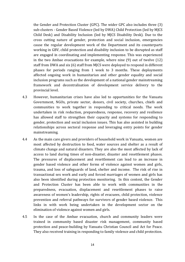the Gender and Protection Cluster (GPC). The wider GPC also includes three (3) sub-clusters - Gender Based Violence (led by DWA) Child Protection (led by MJCS Child Desk) and Disability Inclusion (led by MJCS Disability Desk). Due to the cross cutting nature of gender, protection and social inclusion, emergencies cause the regular development work of the Department and its counterparts working in GBV, child protection and disability inclusion to be disrupted as staff are engaged in coordinating and implementing response. This was experienced in the two Ambae evacuations for example, where nine (9) out of twelve (12) staff from DWA and six (6) staff from MJCS were deployed to respond in different phases for periods ranging from 1 week to 3 months. These deployments affected ongoing work in humanitarian and other gender equality and social inclusion programs such as the development of a national gender mainstreaming framework and decentralisation of development service delivery to the provincial level.

- 4.3 However, humanitarian crises have also led to opportunities for the Vanuatu Government, NGOs, private sector, donors, civil society, churches, chiefs and communities to work together in responding to critical needs. The work undertaken in risk reduction, preparedness, response, recovery and resilience has allowed staff to strengthen their capacity and systems for responding to gender, protection and social inclusion issues. This has also assisted in building relationships across sectoral response and leveraging entry points for gender mainstreaming.
- 4.4 As the main care givers and providers of household work in Vanuatu, women are most affected by destruction to food, water sources and shelter as a result of climate change and natural disasters. They are also the most affected by lack of access to land during times of non-disaster, disaster and resettlement phases. The pressures of displacement and resettlement can lead to an increase in gender based violence and other forms of violence against women and girls, trauma, and loss of safeguards of land, shelter and income. The risk of rise in transactional sex work and early and forced marriages of women and girls has also been identified during protection monitoring. In this context, the Gender and Protection Cluster has been able to work with communities in the preparedness, evacuation, displacement and resettlement phases to raise awareness of women's leadership, rights of evacuees, child protection, violence prevention and referral pathways for survivors of gender based violence. This links in with work being undertaken in the development sector on the elimination of violence against women and girls.
- 4.5 In the case of the Ambae evacuation, church and community leaders were trained in community based disaster risk management, community based protection and peace-building by Vanuatu Christian Council and Act for Peace. They also received training in responding to family violence and child protection.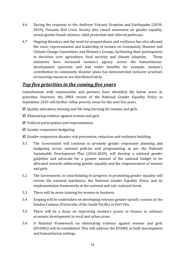- 4.6 During the response to the Ambrym Volcanic Eruption and Earthquake (2018- 2019), Vanuatu Red Cross Society also raised awareness on gender equality, sexual gender based violence, child protection and referral pathways.
- 4.7 Ongoing disasters and the need for preparedness and resilience has also allowed the voice, representation and leadership of women on Community Disaster and Climate Change Committees and Women's Groups, facilitating their participation in decisions over agriculture, food security and climate adaption. These initiatives have increased women's agency across the humanitariandevelopment spectrum and had wider benefits for example, women's contribution to community disaster plans has demonstrated inclusive practices of ensuring resources are distributed fairly.

#### <span id="page-14-0"></span>*Top five priorities in the coming five years*

Consultations with communities and partners have identified the below areas as priorities. However, the DWA review of the National Gender Equality Policy in September 2019 will further refine priority areas for the next five years.

- $\boxtimes$  Quality education, training and life-long learning for women and girls
- $\boxtimes$  Eliminating violence against women and girls
- $\boxtimes$  Political participation and representation
- Gender-responsive budgeting
- $\boxtimes$  Gender-responsive disaster risk prevention, reduction and resilience building
- 5.1 The Government will continue to promote gender responsive planning and budgeting across national policies and programming as per the National Sustainable Development Plan (2016-2030), will develop a national gender guideline and advocate for a greater amount of the national budget to be allocated towards addressing gender equality and the empowerment of women and girls.
- 5.2 The Government, in consolidating its progress in promoting gender equality will review the national machinery, the National Gender Equality Policy and its implementation frameworks at the national and sub- national levels.
- 5.3 There will be more training for women in business.
- 5.4 Scoping will be undertaken on developing relevant gender-specific courses at the Emalus Campus (University of the South Pacific) in Port Vila.
- 5.5 There will be a focus on improving women's access to finance to enhance economic development in rural and urban areas.
- 5.6 A National Framework on eliminating violence against women and girls (EVAWG) will be established. This will address the EVAWG in both development and humanitarian settings.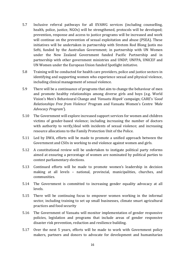- 5.7 Inclusive referral pathways for all EVAWG services (including counselling, health, police, justice, NGOs) will be strengthened, protocols will be developed; prevention, response and access to justice programs will be increased and work will continue on the prevention of sexual exploitation and abuse (PSEA). These initiatives will be undertaken in partnership with Stretem Rod Blong Jastis mo Sefti, funded by the Australian Government; in partnership with UN Women under the New Zealand Government funded Pacific Partnership and in partnership with other government ministries and UNDP, UNFPA, UNICEF and UN Women under the European Union funded Spotlight initiative.
- 5.8 Training will be conducted for health care providers, police and justice sectors in identifying and supporting women who experience sexual and physical violence, including clinical management of sexual violence.
- 5.9 There will be a continuance of programs that aim to change the behaviour of men and promote healthy relationships among diverse girls and boys (e.g. World Vision's Men's Behavioural Change and *'Vanuatu Rispek'* campaign; CARE's '*Good Relationships Free from Violence'* Program and Vanuatu Women's Centre *'Male Advocacy Program'*).
- 5.10 The Government will explore increased support services for women and children victims of gender-based violence; including increasing the number of doctors with authority to verify/deal with incidents of sexual violence; and increasing resource allocations to the Family Protection Unit of the Police.
- 5.11 Led by DWA, efforts will be made to promote a unified approach between the Government and CSOs in working to end violence against women and girls.
- 5.12 A constitutional review will be undertaken to instigate political party reforms aimed at ensuring a percentage of women are nominated by political parties to contest parliamentary elections.
- 5.13 Continued efforts will be made to promote women's leadership in decision making at all levels – national, provincial, municipalities, churches, and communities.
- 5.14 The Government is committed to increasing gender equality advocacy at all levels.
- 5.15 There will be continuing focus to empower women working in the informal sector, including training to set up small businesses, climate smart agricultural practices and food security
- 5.16 The Government of Vanuatu will monitor implementation of gender responsive policies, legislation and programs that include areas of gender responsive disaster risk prevention, reduction and resilience building.
- 5.17 Over the next 5 years, efforts will be made to work with Government policy makers, partners and donors to advocate for development and humanitarian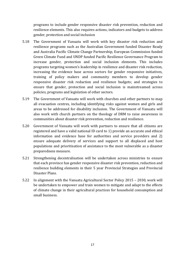programs to include gender responsive disaster risk prevention, reduction and resilience elements. This also requires actions, indicators and budgets to address gender, protection and social inclusion

- 5.18 The Government of Vanuatu will work with key disaster risk reduction and resilience programs such as the Australian Government funded Disaster Ready and Australia Pacific Climate Change Partnership, European Commission funded Green Climate Fund and UNDP funded Pacific Resilience Governance Program to increase gender, protection and social inclusion elements. This includes programs targeting women's leadership in resilience and disaster risk reduction, increasing the evidence base across sectors for gender responsive initiatives, training of policy makers and community members to develop gender responsive disaster risk reduction and resilience budgets; and strategies to ensure that gender, protection and social inclusion is mainstreamed across policies, programs and legislation of other sectors.
- 5.19 The Government of Vanuatu will work with churches and other partners to map all evacuation centres, including identifying risks against women and girls and areas to be addressed for disability inclusion. The Government of Vanuatu will also work with church partners on the theology of DRM to raise awareness in communities about disaster risk prevention, reduction and resilience.
- 5.20 Government of Vanuatu will work with partners to ensure that all citizens are registered and have a valid national ID card to 1) provide an accurate and ethical information and evidence base for authorities and service providers and 2) ensure adequate delivery of services and support to all displaced and host populations and prioritisation of assistance to the most vulnerable as a disaster preparedness measure.
- 5.21 Strengthening decentralisation will be undertaken across ministries to ensure that each province has gender responsive disaster risk prevention, reduction and resilience building elements in their 5 year Provincial Strategies and Provincial Disaster Plans.
- 5.22 In alignment with the Vanuatu Agricultural Sector Policy 2015 2030, work will be undertaken to empower and train women to mitigate and adapt to the effects of climate change in their agricultural practices for household consumption and small business.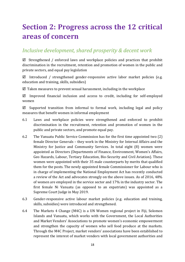# <span id="page-17-0"></span>**Section 2: Progress across the 12 critical areas of concern**

### <span id="page-17-1"></span>*Inclusive development, shared prosperity & decent work*

 $\boxtimes$  Strengthened / enforced laws and workplace policies and practices that prohibit discrimination in the recruitment, retention and promotion of women in the public and private sectors, and equal pay legislation

 $\boxtimes$  Introduced / strengthened gender-responsive active labor market policies (e.g. education and training, skills, subsidies)

 $\boxtimes$  Taken measures to prevent sexual harassment, including in the workplace

 $\boxtimes$  Improved financial inclusion and access to credit, including for self-employed women

 $\boxtimes$  Supported transition from informal to formal work, including legal and policy measures that benefit women in informal employment

- 6.1 Laws and workplace policies were strengthened and enforced to prohibit discrimination in the recruitment, retention and promotion of women in the public and private sectors, and promote equal pay.
- 6.2 The Vanuatu Public Service Commission has for the first time appointed two (2) female Director Generals – they work in the Ministry for Internal Affairs and the Ministry for Justice and Community Services. In total eight (8) women were appointed as Directors (Departments of Finance, Environment, Women's Affairs, Geo Hazards, Labour, Tertiary Education, Bio-Security and Civil Aviation). These women were appointed with their 35 male counterparts by merits that qualified them for the posts. The newly appointed female Commissioner for Labour who is in charge of implementing the National Employment Act has recently conducted a review of the Act and advocates strongly on the above issues. As of 2016, 48% of women are employed in the service sector and 17% in the industry sector. The first female Ni Vanuatu (as opposed to an expatriate) was appointed as a Supreme Court Judge in May 2019.
- 6.3 Gender-responsive active labour market policies (e.g. education and training, skills, subsidies) were introduced and strengthened.
- 6.4 The Markets 4 Change (M4C) is a UN Women regional project in Fiji, Solomon Islands and Vanuatu, which works with the Government, the Local Authorities and Market Vendors' Associations to promote women's economic empowerment and strengthen the capacity of women who sell food produce at the markets. Through the M4C Project, market vendors' associations have been established to represent the interest of market vendors with local government authorities and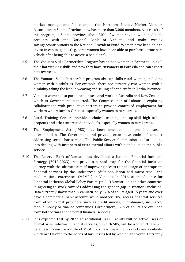market management for example the Northern Islands Market Vendors Association in Sanma Province now has more than 3,000 members. As a result of this program, in Sanma province, about 50% of women have now opened bank accounts with the National Bank of Vanuatu and make weekly savings/contributions to the National Provident Fund. Women have been able to invest in capital goods (e.g. some women have been able to purchase a transport vehicle after being able to access a bank loan).

- 6.5 The Vanuatu Skills Partnership Program has helped women in Sanma to up-skill their hat weaving skills and now they have customers in Port Vila and can export hats overseas.
- 6.6 The Vanuatu Skills Partnership program also up-skills rural women, including women with disabilities. For example, there are currently two women with a disability taking the lead in weaving and selling of handicrafts in Torba Province.
- 6.7 Vanuatu women also participate in seasonal work in Australia and New Zealand, which is Government supported. The Commissioner of Labour is exploring collaborations with productive sectors to provide continued employment for workers who return to Vanuatu, especially women in rural areas.
- 6.8 Rural Training Centers provide technical training and up-skill high school dropouts and other interested individuals, especially women in rural areas.
- 6.9 The Employment Act (1983) has been amended and prohibits sexual discrimination. The Government and private sector have codes of conduct addressing sexual harassment. The Public Service Commission is also looking into dealing with instances of extra marital affairs within and outside the public service.
- 6.10 The Reserve Bank of Vanuatu has developed a National Financial Inclusion Strategy (2018-2023) that provides a road map for the financial inclusion journey with the ultimate aim of improving access to and usage of appropriate financial services by the undeserved adult population and micro small and medium sizes enterprises (MSMEs) in Vanuatu. In 2016, at the Alliance for Financial Inclusion Global Policy Forum (in Fiji) Vanuatu joined other countries in agreeing to work towards addressing the gender gap in financial inclusion. Data currently shows that in Vanuatu, only 37% of adults aged 15 years and over have a commercial bank account, while another 10% access financial services from other formal providers such as credit unions, microfinance, insurance, mobile money or finance companies. Furthermore, 32% of adults are excluded from both formal and informal financial services.
- 6.11 It is expected that by 2023 an additional 54,000 adults will be active users of formal or semi-formal financial services, of which 50% will be women. There will be a need to ensure a suite of MSME business financing products are available, which are tailored to the needs of businesses led by women and youth. Currently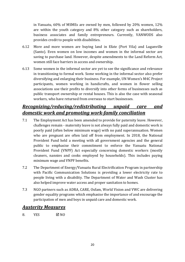in Vanuatu, 60% of MSMEs are owned by men, followed by 20% women, 12% are within the youth category and 8% other category such as shareholders, business associates and family entrepreneurs. Currently, VANWODS also provides credit to people with disabilities.

- 6.12 More and more women are buying land in Efate (Port Vila) and Luganville (Santo). Even women on low incomes and women in the informal sector are saving to purchase land. However, despite amendments to the Land Reform Act, women still face barriers in access and ownership.
- 6.13 Some women in the informal sector are yet to see the significance and relevance in transitioning to formal work. Some working in the informal sector also prefer diversifying and enlarging their business. For example, UN Women's M4C Project participants, women working in handicrafts, and women in flower selling associations use their profits to diversify into other forms of businesses such as public transport ownership or rental houses. This is also the case with seasonal workers, who have returned from overseas to start businesses.

### <span id="page-19-0"></span>*Recognizing/reducing/redistributing unpaid care and domestic work and promoting work-family conciliation*

- 7.1 The Employment Act has been amended to provide for paternity leave. However, challenges remain - maternity leave is not always fully paid and domestic work is poorly paid (often below minimum wage) with no paid superannuation. Women who are pregnant are often laid off from employment. In 2018, the National Provident Fund held a meeting with all government agencies and the general public to emphasise their commitment to enforce the Vanuatu National Provident Fund (VNPF) Act especially concerning domestic workers (mostly cleaners, nannies and cooks employed by households). This includes paying minimum wage and VNPF benefits.
- 7.2 The Department of Energy/Vanuatu Rural Electrification Program in partnership with Pacific Communication Solutions is providing a lower electricity rate to people living with a disability. The Department of Water and Wash Cluster has also helped improve water access and proper sanitation to homes.
- 7.3 NGO partners such as ADRA, CARE, Oxfam, World Vision and VWC are delivering gender equality programs which emphasise the importance of and encourage the participation of men and boys in unpaid care and domestic work.

#### <span id="page-19-1"></span>*Austerity Measures*

8. YES  $\boxtimes$  NO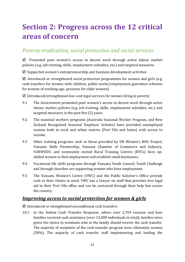# <span id="page-20-0"></span>**Section 2: Progress across the 12 critical areas of concern**

### <span id="page-20-1"></span>*Poverty eradication, social protection and social services*

 $\boxtimes$  Promoted poor women's access to decent work through active labour market policies (e.g. job training, skills, employment subsidies, etc.) and targeted measures

 $\boxtimes$  Supported women's entrepreneurship and business development activities

 $\boxtimes$  Introduced or strengthened social protection programmes for women and girls (e.g. cash transfers for women with children, public works/employment guarantee schemes for women of working-age, pensions for older women)

 $\boxtimes$  Introduced/strengthened low-cost legal services for women living in poverty

- 9.1 The Government promoted poor women's access to decent work through active labour market policies (e.g. job training, skills, employment subsidies, etc.) and targeted measures in the past five (5) years.
- 9.2 The seasonal workers programs (Australia Seasonal Worker Program, and New Zealand Recognized Seasonal Employer Scheme) have provided unemployed women both in rural and urban centres (Port Vila and Santo) with access to income.
- 9.3 Other training programs such as those provided by UN Women's M4C Project, Vanuatu Skills Partnership, Vanuatu Chamber of Commerce and Industry, VANWODS, and community owned Rural Training Centres (RTCs) have upskilled women to find employment and establish small businesses.
- 9.4 Vocational life skills programs through Vanuatu Youth Council, Youth Challenge and through churches are supporting women who have employment.
- 9.5 The Vanuatu Women's Centre (VWC) and the Public Solicitor's Office provide cash to their clients in need. VWC has a lawyer on staff that provides free legal aid in their Port Vila office and can be contacted through their help line across the country.

#### <span id="page-20-2"></span>*Improving access to social protection for women & girls*

 $\boxtimes$  Introduced or strengthened unconditional cash transfers

10.1 In the Ambae Cash Transfer Response, where over 2,769 evacuee and host families received cash assistance (over 13,000 individuals in total); families were given the choice to nominate who in the family should receive the cash transfer. The majority of recipients of the cash transfer program were ultimately women (58%). The majority of cash transfer staff implementing and leading the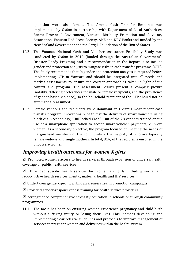operation were also female. The Ambae Cash Transfer Response was implemented by Oxfam in partnership with Department of Local Authorities, Sanma Provincial Government, Vanuatu Disability Promotion and Advocacy Association, Vanuatu Red Cross Society, ANZ and NBV Banks and funded by the New Zealand Government and the Cargill Foundation of the United States.

- 10.2 The Vanuatu National Cash and Voucher Assistance Feasibility Study was conducted by Oxfam in 2018 (funded through the Australian Government's Disaster Ready Program) and a recommendation in the Report is to include gender and protection analysis to mitigate risks in cash transfer programs (CTP). The Study recommends that "a gender and protection analysis is required before implementing CTP in Vanuatu and should be integrated into all needs and market assessments to ensure the correct approach is taken in light of the context and program. The assessment results present a complex picture (notably, differing preferences for male or female recipients, and the prevalence of gender-based violence), so the household recipient of the CTP should not be automatically assumed".
- 10.3 Female vendors and recipients were dominant in Oxfam's most recent cash transfer program innovations pilot to test the delivery of smart vouchers using block chain technology; "UnBlocked Cash". Out of the 28 vendors trained on the use of a smartphone application to accept smart voucher payments, 21 were women. As a secondary objective, the program focused on meeting the needs of marginalised members of the community – the majority of who are typically female widows and single mothers. In total, 81% of the recipients enrolled in the pilot were women.

#### <span id="page-21-0"></span>*Improving health outcomes for women & girls*

 $\boxtimes$  Promoted women's access to health services through expansion of universal health coverage or public health services

 $\boxtimes$  Expanded specific health services for women and girls, including sexual and reproductive health services, mental, maternal health and HIV services

 $\boxtimes$  Undertaken gender-specific public awareness/health promotion campaigns

 $\boxtimes$  Provided gender-responsiveness training for health service providers

 $\boxtimes$  Strengthened comprehensive sexuality education in schools or through community programmes

11.1 The focus has been on ensuring women experience pregnancy and child birth without suffering injury or losing their lives. This includes developing and implementing clear referral guidelines and protocols to improve management of services to pregnant women and deliveries within the health system.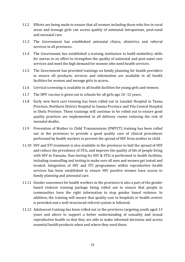- 11.2 Efforts are being made to ensure that all women including those who live in rural areas and teenage girls can access quality of antenatal intrapartum, post-natal and neonatal care.
- 11.3 The Government has established antenatal clinics, obstetrics and referral services in all provinces.
- 11.4 The Government has established a training institution to build midwifery skills for nurses in an effort to strengthen the quality of antenatal and post-natal care services and meet the high demand for women who need health services.
- 11.5 The Government has provided trainings on family planning for health providers to ensure all products; services and information are available in all health facilities for women and teenage girls to access.
- 11.6 Cervical screening is available in all health facilities for young girls and women.
- 11.7 The HPV vaccine is given out in schools for all girls age 10 -12 years.
- 11.8 Early new born care training has been rolled out in Lenakel Hospital in Tanna Province, Northern District Hospital in Sanma Province and Vila Central Hospital in Shefa Province. These trainings will continue to be rolled out to ensure good quality practices are implemented in all delivery rooms reducing the risk of neonatal deaths.
- 11.9 Prevention of Mother to Child Transmissions (PMTCT) training has been rolled out in the provinces to provide a good quality care of clinical procedures performed by health workers to prevent the spread of HIV from mother to child.
- 11.10 HIV and STI treatment is also available in the provinces to halt the spread of HIV and reduce the prevalence of STIs, and improve the quality of life of people living with HIV in Vanuatu. Duo-testing for HIV & STIs is performed in health facilities, including counselling and testing to make sure all men and women get tested and treated. Integration of HIV and STI programmes within reproductive health services has been established to ensure HIV positive women have access to family planning and antenatal care.
- 11.11 Gender awareness for health workers in the provinces is also a part of the gender based violence training package being rolled out to ensure that people in communities have the right information to stop gender based violence. In addition, the training will ensure that quality care in hospitals or health centres is provided and a well-structured referral system is followed.
- 11.12 Adolescent training has been rolled out in the provinces targeting youth aged 13 years and above to support a better understanding of sexuality and sexual reproductive health so that they are able to make informed decisions and access essential health products when and where they need them.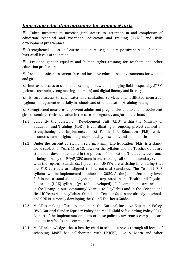### <span id="page-23-0"></span>*Improving education outcomes for women & girls*

 $\boxtimes$  Taken measures to increase girls' access to, retention in and completion of education, technical and vocational education and training (TVET) and skills development programmes

 $\boxtimes$  Strengthened educational curricula to increase gender-responsiveness and eliminate bias, at all levels of education

 $\boxtimes$  Provided gender equality and human rights training for teachers and other education professionals

 $\boxtimes$  Promoted safe, harassment-free and inclusive educational environments for women and girls

 $\boxtimes$  Increased access to skills and training in new and emerging fields, especially STEM (science, technology, engineering and math) and digital fluency and literacy

 $\boxtimes$  Ensured access to safe water and sanitation services and facilitated menstrual hygiene management especially in schools and other education/training settings

 $\boxtimes$  Strengthened measures to prevent adolescent pregnancies and to enable adolescent girls to continue their education in the case of pregnancy and/or motherhood

- 12.1 Currently the Curriculum Development Unit (CDU) within the Ministry of Education and Training (MoET) is coordinating an ongoing project centred on strengthening the implementation of Family Life Education (FLE), which promotes human rights and gender equality in schools and communities.
- 12.2 Under the current curriculum reform, Family Life Education (FLE) is a standalone subject for Years 11 to 13, however the syllabus and the Teacher Guide are still under development and in the process of finalization. The quality assurance is being done by the EQAP/SPC team in order to align all senior secondary syllabi with the regional standards. Inputs from UNFPA are assisting in ensuring that the FLE curricula are aligned to international standards. The Year 11 FLE syllabus will be implemented in schools in 2020. At the Junior Secondary level, FLE is not a stand-alone subject but incorporated in the 'Health and Physical Education' (HPE) syllabus (yet to be developed). FLE components are included in the 'Living in our Community' Years 1 to 3 syllabus and in the 'Science and Health' Years 4 to 6 syllabus. Year 1 to 4 Teacher Guides are already in schools and CDU is currently developing the Year 5 Teacher's Guide.
- 12.3 MoET is making efforts to implement the National Inclusive Education Policy, DWA National Gender Equality Policy and MoET Child Safeguarding Policy 2017. As part of the implementation plans of these policies, awareness campaigns are ongoing in schools and communities.
- 12.4 MoET acknowledges that a healthy child in school survives through all levels of schooling. MoET has collaborated with UNICEF, Live & Learn and other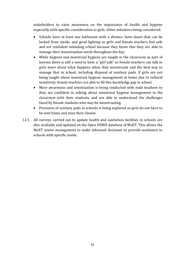stakeholders to raise awareness on the importance of health and hygiene especially with specific consideration to girls. Other initiatives being considered:

- Schools have at least one bathroom with a shower, have doors that can be locked from inside, and good lighting so girls and female teachers feel safe and are confident attending school because they know that they are able to manage their menstruation needs throughout the day.
- While hygiene and menstrual hygiene are taught in the classroom as part of lessons there is still a need to have a "girl talk" so female teachers can talk to girls more about what happens when they menstruate and the best way to manage that in school, including disposal of sanitary pads. If girls are not being taught about menstrual hygiene management at home due to cultural sensitivity, female teachers are able to fill this knowledge gap in school.
- More awareness and sensitization is being conducted with male teachers so they are confident in talking about menstrual hygiene management in the classroom with their students, and are able to understand the challenges faced by female students who may be menstruating.
- Provision of sanitary pads in schools is being explored so girls do not have to be sent home and miss their classes.
- 12.5 All surveys carried out to update health and sanitation facilities in schools are also available and updated on the Open VEMIS database of MoET. This allows the MoET senior management to make informed decisions to provide assistance to schools with specific needs.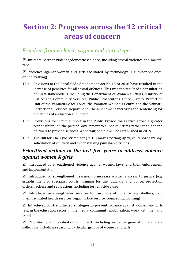# <span id="page-25-0"></span>**Section 2: Progress across the 12 critical areas of concern**

### <span id="page-25-1"></span>*Freedom from violence, stigma and stereotypes*

 $\boxtimes$  Intimate partner violence/domestic violence, including sexual violence and marital rape

 $\boxtimes$  Violence against women and girls facilitated by technology (e.g. cyber violence, online stalking)

- 13.1 Revisions to the Penal Code Amendment Act No 15 of 2016 have resulted in the increase of penalties for all sexual offences. This was the result of a consultation of multi-stakeholders, including the Department of Women's Affairs, Ministry of Justice and Community Services, Public Prosecutor's Office, Family Protection Unit of the Vanuatu Police Force, the Vanuatu Women's Centre and the Vanuatu Correctional Services Department. The amendment increases the sentencing for the crimes of abduction and incest.
- 13.2 Provisions for victim support in the Public Prosecutor's Office afford a greater responsibility on the part of Government to support victims rather than depend on NGOs to provide services. A specialised unit will be established in 2019.
- 13.3 The Bill for The Cybercrime Act (2015) makes pornography, child pornography, solicitation of children and cyber stalking punishable crimes

#### <span id="page-25-2"></span>*Prioritized actions in the last five years to address violence against women & girls*

 $\boxtimes$  Introduced or strengthened violence against women laws, and their enforcement and implementation

Introduced or strengthened measures to increase women's access to justice (e.g. establishment of specialist courts, training for the judiciary and police, protection orders, redress and reparations, including for femicide cases)

Introduced or strengthened services for survivors of violence (e.g. shelters, help lines, dedicated health services, legal, justice service, counselling, housing)

 $\boxtimes$  Introduced or strengthened strategies to prevent violence against women and girls (e.g. in the education sector, in the media, community mobilization, work with men and boys)

 $\boxtimes$  Monitoring and evaluation of impact, including evidence generation and data collection, including regarding particular groups of women and girls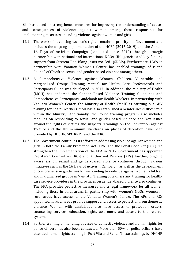$\boxtimes$  Introduced or strengthened measures for improving the understanding of causes and consequences of violence against women among those responsible for implementing measures on ending violence against women and girls

- 14.1 The work of advancing women's rights remains a priority for Government and includes the ongoing implementation of the NGEP (2015-2019) and the Annual 16 Days of Activism Campaign (conducted since 2010) through strategic partnership with national and international NGOs, UN agencies and key funding support from Stretem Rod Blong Jastis mo Sefti (SRBJS). Furthermore, DWA in partnership with Vanuatu Women's Centre has enabled trainings of island Council of Chiefs on sexual and gender-based violence among others.
- 14.2 A Comprehensive Violence against Women, Children, Vulnerable and Marginalized Groups Training Manual for Health Care Professionals and Participants Guide was developed in 2017. In addition, the Ministry of Health (MOH) has endorsed the Gender Based Violence Training Guidelines and Comprehensive Participants Guidebook for Health Workers. In partnership with Vanuatu Women's Center, the Ministry of Health (MoH) is carrying out GBV training for health workers. MoH has also established a Gender-Desk Officer role within the Ministry. Additionally, the Police training program also includes modules on responding to sexual and gender-based violence and key issues around the rights of victims and suspects. Trainings on the Convention against Torture and the UN minimum standards on places of detention have been provided by OHCHR, SPC RRRT and the ICRC.
- 14.3 The Government continues its efforts in addressing violence against women and girls in both the Family Protection Act (FPA) and the Penal Code Act (PCA). To strengthen the implementation of the FPA in 2017, Government has appointed Registered Counsellors (RCs) and Authorized Persons (APs). Further, ongoing awareness on sexual and gender-based violence continues through various initiatives such as the 16 Days of Activism Campaign, as well as the development of comprehensive guidelines for responding to violence against women, children and marginalized groups in Vanuatu. Training of trainers and training for healthcare service providers in the provinces on gender-based violence also continues. The FPA provides protective measures and a legal framework for all women including those in rural areas. In partnership with women's NGOs, women in rural areas have access to the Vanuatu Women's Centre. The APs and RCs appointed in rural areas provide support and access to protection from domestic violence. Women with disabilities also have access to protection orders, counselling services, education, rights awareness and access to the referral system.
- 14.4 Further training on handling of cases of domestic violence and human rights for police officers has also been conducted. More than 50% of police officers have attended human rights training in Port Vila and Santo. These trainings by OHCHR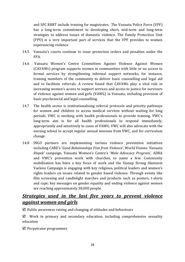and SPC RRRT include training for magistrates. The Vanuatu Police Force (VPF) has a long-term commitment to developing short, mid-term and long-term strategies to address issues of domestic violence. The Family Protection Unit (FPU) is a very important part of services that the VPF provides to women experiencing violence

- 14.5 Vanuatu's courts continue to issue protection orders and penalties under the FPA.
- 14.6 Vanuatu Women's Centre Committees Against Violence Against Women (CAVAWs) program supports women in communities with little or no access to formal services by strengthening informal support networks, for instance, training members of the community to deliver basic counselling and legal aid and to facilitate referrals. A review found that CAVAWs play a vital role in increasing women's access to support services and access to justice for survivors of violence against women and girls (VAWG) in Vanuatu, including provision of basic psychosocial and legal counselling.
- 14.7 The health sector is institutionalising referral protocols and priority pathways for women and children to access medical services without waiting for long periods. VWC is working with health professionals to provide training. VWC's long-term aim is for all health professionals to respond immediately, appropriately and sensitively to cases of VAWG. VWC will also advocate with the nursing school to accept regular annual sessions from VWC, and for curriculum change.
- 14.8 INGO partners are implementing various violence prevention initiatives including CARE's '*Good Relationships Free from Violence'*, World Visions *'Vanuatu Rispek'* campaign, Vanuatu Women's Centre's '*Male Advocacy Program'*, ADRA and VWC's prevention work with churches, to name a few. Community mobilisation has been a key focus of work and the Stanap Strong Akensem Vaelens Campaign is engaging with key religious, political leaders and women's rights leaders on issues related to gender based violence. Through events like film screening and candlelight marches and products such as posters, t-shirts and caps; key messages on gender equality and ending violence against women are reaching approximately 38,000 people.

#### <span id="page-27-0"></span>*Strategies used in the last five years to prevent violence against women and girls*

 $\boxtimes$  Public awareness raising and changing of attitudes and behaviours

 $\boxtimes$  Work in primary and secondary education, including comprehensive sexuality education

 $\boxtimes$  Perpetrator programmes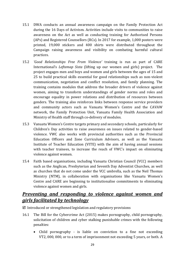- 15.1 DWA conducts an annual awareness campaign on the Family Protection Act during the 16 Days of Activism. Activities include visits to communities to raise awareness on the Act as well as conducting training for Authorised Persons (APs) and Registered Counsellors (RCs). In 2017 for example, 1,000 posters were printed, 19,000 stickers and 400 shirts were distributed throughout the Campaign raising awareness and visibility on combating harmful cultural practices.
- 15.2 *'Good Relationships Free From Violence'* training is run as part of CARE International's *Leftemap Sista* (lifting up our women and girls) project. The project engages men and boys and women and girls between the ages of 15 and 25 to build practical skills essential for good relationships such as non-violent communication, negotiation and conflict resolution, and family planning. The training contains modules that address the broader drivers of violence against women, aiming to transform understandings of gender norms and roles and encourage equality in power relations and distribution of resources between genders. The training also reinforces links between response service providers and community actors such as Vanuatu Women's Centre and the CAVAW network, the Family Protection Unit, Vanuatu Family Health Association and Ministry of Health staff through co-delivery of modules.
- 15.3 Vanuatu Women's Centre targets primary and secondary schools, particularly for Children's Day activities to raise awareness on issues related to gender-based violence. VWC also works with provincial authorities such as the Provincial Education Officers and Zone Curriculum Advisors, as well as the Vanuatu Institute of Teacher Education (VITE) with the aim of having annual sessions with teacher trainees, to increase the reach of VWC's impact on eliminating violence against women.
- 15.4 Faith based organisations, including Vanuatu Christian Council (VCC) members such as the Anglican, Presbyterian and Seventh Day Adventist Churches, as well as churches that do not come under the VCC umbrella, such as the Neil Thomas Ministry (NTM), in collaboration with organisations like Vanuatu Women's Centre and CARE are beginning to institutionalise commitments to eliminating violence against women and girls.

#### <span id="page-28-0"></span>*Preventing and responding to violence against women and girls facilitated by technology*

 $\boxtimes$  Introduced or strengthened legislation and regulatory provisions

- 16.1 The Bill for the Cybercrime Act (2015) makes pornography, child pornography, solicitation of children and cyber stalking punishable crimes with the following penalties:
	- Child pornography is liable on conviction to a fine not exceeding VT2, 000, 000, or to a term of imprisonment not exceeding 5 years, or both. A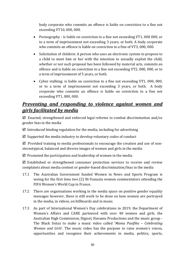body corporate who commits an offence is liable on conviction to a fine not exceeding VT10, 000, 000.

- Pornography is liable on conviction to a fine not exceeding VT1, 000 000, or to a term of imprisonment not exceeding 3 years, or both. A body corporate who commits an offence is liable on conviction to a fine of VT3, 000, 000.
- Solicitation of children: A person who uses an electronic system to propose to a child to meet him or her with the intention to sexually exploit the child, whether or not such proposal has been followed by material acts, commits an offence and is liable on conviction to a fine not exceeding VT2, 000, 000, or to a term of imprisonment of 5 years, or both.
- Cyber stalking: is liable on conviction to a fine not exceeding VT1, 000, 000, or to a term of imprisonment not exceeding 3 years, or both. A body corporate who commits an offence is liable on conviction to a fine not exceeding VT1, 000, 000.

### <span id="page-29-0"></span>*Preventing and responding to violence against women and girls facilitated by media*

 $\boxtimes$  Enacted, strengthened and enforced legal reforms to combat discrimination and/or gender bias in the media

 $\boxtimes$  Introduced binding regulation for the media, including for advertising

 $\boxtimes$  Supported the media industry to develop voluntary codes of conduct

 $\boxtimes$  Provided training to media professionals to encourage the creation and use of nonstereotypical, balanced and diverse images of women and girls in the media

 $\boxtimes$  Promoted the participation and leadership of women in the media

 $\boxtimes$  Established or strengthened consumer protection services to receive and review complaints about media content or gender-based discrimination/bias in the media

- 17.1 The Australian Government funded Women in News and Sports Program is seeing for the first time two (2) Ni-Vanuatu women commentators attending the FIFA Women's World Cup in France.
- 17.2 There are organisations working in the media space on positive gender equality messages however, there is still work to be done on how women are portrayed in the media, in videos, on billboards and in music.
- 17.3 As part of International Women's Day celebrations in 2019, the Department of Women's Affairs and CARE partnered with over 40 women and girls, the Australian High Commission, Digicel, Havamu Productions and the music group - The Black Sistaz to make a music video called '*Mama Pasifika – Celebrating Women and Girls*'. The music video has the purpose to raise women's voices, opportunities and recognise their achievements in media, politics, sports,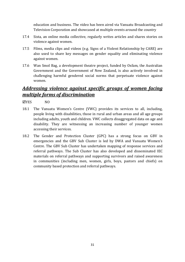education and business. The video has been aired via Vanuatu Broadcasting and Television Corporation and showcased at multiple events around the country

- 17.4 Sista, an online media collective, regularly writes articles and shares stories on violence against women.
- 17.5 Films, media clips and videos (e.g. Signs of a Violent Relationship by CARE) are also used to share key messages on gender equality and eliminating violence against women.
- 17.6 Wan Smol Bag, a development theatre project, funded by Oxfam, the Australian Government and the Government of New Zealand, is also actively involved in challenging harmful gendered social norms that perpetuate violence against women.

#### <span id="page-30-0"></span>*Addressing violence against specific groups of women facing multiple forms of discrimination*

YES NO

- 18.1 The Vanuatu Women's Centre (VWC) provides its services to all, including, people living with disabilities, those in rural and urban areas and all age groups including adults, youth and children. VWC collects disaggregated data on age and disability. They are witnessing an increasing number of younger women accessing their services.
- 18.2 The Gender and Protection Cluster (GPC) has a strong focus on GBV in emergencies and the GBV Sub Cluster is led by DWA and Vanuatu Women's Centre. The GBV Sub Cluster has undertaken mapping of response services and referral pathways. The Sub Cluster has also developed and disseminated IEC materials on referral pathways and supporting survivors and raised awareness in communities (including men, women, girls, boys, pastors and chiefs) on community based protection and referral pathways.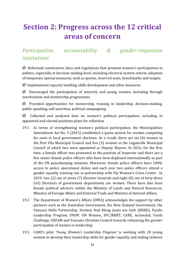# <span id="page-31-0"></span>**Section 2: Progress across the 12 critical areas of concern**

### *Participation, accountability & gender-responsive institutions*

 $\boxtimes$  Reformed constitution, laws and regulations that promote women's participation in politics, especially at decision-making level, including electoral system reform, adoption of temporary special measures, such as quotas, reserved seats, benchmarks and targets

 $\boxtimes$  Implemented capacity building, skills development and other measures

 $\boxtimes$  Encouraged the participation of minority and young women, including through sensitization and mentorship programmes

 $\boxtimes$  Provided opportunities for mentorship, training in leadership, decision-making, public speaking, self-assertion, political campaigning

 $\boxtimes$  Collected and analyzed data on women's political participation, including in appointed and elected positions plans for collection

- 19.1 In terms of strengthening women's political participation, the Municipalities Amendment Act No. 5 (2015) established a quota system for women competing for seats in local government elections. As a result, there are six (6) women in the Port Vila Municipal Council and five (5) women in the Luganville Municipal Council of which two were appointed as Deputy Mayors. In 2016, for the first time, a female officer was promoted to the position of Inspector and there are a few senior female police officers who have been deployed internationally as part of the UN peacekeeping missions. Moreover, female police officers have 100% access to police operational duties and each year two police officers attend a gender equality training run in partnership with Fiji Women's Crisis Center. In 2019, two (2) out of seven (7) Director Generals and eight (8) out of forty-three (43) Directors of government departments are women. There have also been female political advisors within the Ministry of Lands and Natural Resources, Ministry of Foreign Affairs and External Trade and Ministry of Internal Affairs.
- 19.2 The Department of Women's Affairs (DWA) acknowledges the support by other partners such as the Australian Government, the New Zealand Government, the Vanuatu Skills Partnership, Stretem Rod Blong Jastis mo Sefti (SRBJS), Pacific Leadership Program, UNDP, UN Women, SPC/RRRT, CARE, ActionAid, Youth Challenge, OXFAM and Vanuatu Christian Council towards enhancing the greater participation of women in leadership.
- 19.3 CARE's pilot *'Young Women's Leadership Program'* is working with 20 young women to develop their leadership skills for gender equality and ending violence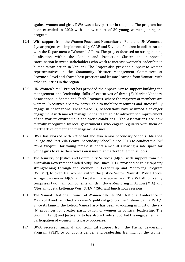against women and girls. DWA was a key partner in the pilot. The program has been extended to 2020 with a new cohort of 30 young women joining the program.

- 19.4 With support from the Women Peace and Humanitarian Fund and UN Women, a 2 year project was implemented by CARE and Save the Children in collaboration with the Department of Women's Affairs. The project focussed on strengthening localisation within the Gender and Protection Cluster and supported coordination between stakeholders who work to increase women's leadership in humanitarian action in Vanuatu. The Project also provided support to women representatives in the Community Disaster Management Committees at Provincial level and shared best practices and lessons learned from Vanuatu with other countries in the region.
- 19.5 UN Women's M4C Project has provided the opportunity to support building the management and leadership skills of executives of three (3) Market Vendors' Associations in Sanma and Shefa Provinces, where the majority of members are women. Executives are now better able to mobilize resources and successfully engage in negotiations. These three (3) Associations have assumed a stronger engagement with market management and are able to advocate for improvement of the market environment and work conditions. The Associations are now formally recognized by local governments, who engage regularly with them on market development and management issues.
- 19.6 DWA has worked with ActionAid and two senior Secondary Schools (Malapoa College and Port Vila Central Secondary School) since 2018 to conduct the '*Gel Pawa Program'* for young female students aimed at allowing a safe space for young girls to raise their voices on issues that matter to them in schools.
- 19.7 The Ministry of Justice and Community Services (MJCS) with support from the Australian Government funded SRBJS has, since 2014, provided ongoing capacity strengthening through the Women in Leadership and Mentoring Program (WiLMP), to over 100 women within the Justice Sector (Vanuatu Police Force, six agencies under MJCS and targeted non-state actors). The WiLMP currently comprises two main components which include Mentoring in Action (MiA) and "Storian tugeta. Leftemap Vois (STLV)" (Storian) lunch hour sessions.
- 19.8 The Vanuatu National Council of Women held its 15th National Conference in May 2018 and launched a women's political group - the "Leleon Vanua Party". Since its launch, the Leleon Vanua Party has been advocating in most of the six (6) provinces for greater participation of women in political leadership. The Ground (Land) and Justice Party has also actively supported the engagement and participation of women in its party processes.
- 19.9 DWA received financial and technical support from the Pacific Leadership Program (PLP), to conduct a gender and leadership training for the women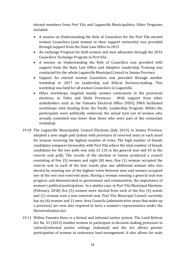elected members from Port Vila and Luganville Municipalities. Other Programs included:

- A session on Understanding the Role of Councilors for the Port Vila elected women Councilors (and women in their support networks) was provided through support from the State Law Office in 2015
- An exchange Program for both women and men advocates through the 2016 Councilors' Exchange Program in Port Vila.
- A session on Understanding the Role of Councilors was provided with support from the State Law Office and Adaptive Leadership Training was conducted for the whole Luganville Municipal Council in Sanma Province.
- Support for elected women Councilors was provided through another workshop in 2017 on Leadership and Ethical Decision-making. This workshop was held for all women Councilors in Luganville.
- Other workshops targeted mainly women contestants in the provincial elections, in Tafea and Shefa Provinces. With support from other stakeholders such as the Vanuatu Electoral Office (VEO), DWA facilitated workshops with funding from the Pacific Leadership Program. Whilst the participants were politically endorsed, the actual turn out of women who actually contested was lower than those who were part of the contestant workshop.
- 19.10 The Luganville Municipality Council Elections (July 2015) in Sanma Province, adopted a new single poll system with provision of reserved seats in each ward for woman receiving the highest number of votes. The high number of female candidates compares favourably with Port Vila where the total number of female candidates for the two polls was only 61 (18 in the general seat and 43 in the reserve seat poll). The results of the election in Sanma produced a council consisting of five (5) women and eight (8) men. One (1) woman occupied the reserve seat in each of the four wards plus one additional woman who was elected by winning one of the highest votes between men and women occupied one of the two non-reserved seats. Having a woman winning a general seat was progress and demonstrated to government and communities, the importance of women's political participation. In a similar case, in Port Vila Municipal Elections (February 2018) five (5) women were elected from each of the five (5) wards and (1) woman won a non-reserved seat. Port Vila Municipal Council currently has six (6) women and 11 men. Area Councils (administrative areas that make up a province) are now also required to have a women's representative under the Decentralisation Act.
- 19.11 Within Vanuatu there is a formal and informal justice system. The Land Reform Act No. 33 (2013) enables women to participate in decision making processes in cultural/informal justice settings (nakamal) and the Act allows greater participation of women in customary land management. It also allows for male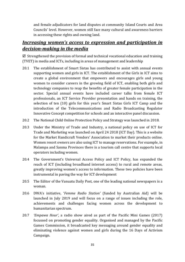and female adjudicators for land disputes at community Island Courts and Area Councils' level. However, women still face many cultural and awareness barriers in accessing these rights and owning land.

#### <span id="page-34-0"></span>*Increasing women's access to expression and participation in decision-making in the media*

 $\boxtimes$  Strengthened the provision of formal and technical vocational education and training (TVET) in media and ICTs, including in areas of management and leadership

- 20.1 The establishment of Smart Sistas has contributed to assist with annual events supporting women and girls in ICT. The establishment of the Girls in ICT aims to create a global environment that empowers and encourages girls and young women to consider careers in the growing field of ICT, enabling both girls and technology companies to reap the benefits of greater female participation in the sector. Special annual events have included career talks from female ICT professionals, an ICT Service Provider presentation and hands on training, the selection of ten (10) girls for this year's Smart Sistas Girls ICT Camp and the introduction of the Telecommunications and Radio Broadcasting Regulator Innovative Concept competition for schools and an interactive panel discussion.
- 20.2 The National Child Online Protection Policy and Strategy was launched in 2018.
- 20.3 Under the Ministry of Trade and Industry, a national policy on use of ICT for Trade and Marketing was launched on April 24 2018 (ICT Day). This is a website for the Market Handicraft Vendors' Association to market their products online. Women resort owners are also using ICT to manage reservations. For example, in Malampa and Sanma Provinces there is a tourism call centre that supports local operators including women.
- 20.4 The Government's Universal Access Policy and ICT Policy, has expanded the reach of ICT (including broadband internet access) to rural and remote areas, greatly improving women's access to information. These two policies have been instrumental in paving the way for ICT development
- 20.5 The Editor of the Vanuatu Daily Post, one of the leading national newspapers is a woman.
- 20.6 DWA's initiative, '*Femme Radio Station'* (funded by Australian Aid) will be launched in July 2019 and will focus on a range of issues including the role, achievements and challenges facing women across the development to humanitarian spectrum.
- 20.7 *'Empawa Hour'*, a radio show aired as part of the Pacific Mini Games (2017) focussed on promoting gender equality. Organised and managed by the Pacific Games Commission, it broadcasted key messaging around gender equality and eliminating violence against women and girls during the 16 Days of Activism Campaign.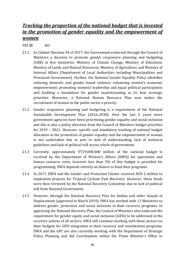### <span id="page-35-0"></span>*Tracking the proportion of the national budget that is invested in the promotion of gender equality and the empowerment of women*

#### $YES \nabla$  NO

- 21.1 In Cabinet Decision 94 of 2017, the Government endorsed through the Council of Ministers a decision to promote gender responsive planning and budgeting (GRB) in five ministries: Ministry of Climate Change, Ministry of Education, Ministry of Lands and Natural Resources, Ministry of Agriculture and Ministry of Internal Affairs (Department of Local Authorities including Municipalities and Provincial Government). Further, the National Gender Equality Policy identifies reducing domestic and gender based violence; enhancing women's economic empowerment; promoting women's leadership and equal political participation and building a foundation for gender mainstreaming as its four strategic priorities. Moreover, a National Human Resource Plan now makes the recruitment of women in the public sector a priority.
- 21.2 Gender responsive planning and budgeting is a requirement of the National Sustainable Development Plan (2016-2030). Over the last 2 years more government agencies have been prioritising gender equality and social inclusion and this is also a policy direction from the Council of Ministers budget priorities for 2019 – 2021. However, specific and mandatory tracking of national budget allocation to the promotion of gender equality and the empowerment of women is not undertaken due in part to lack of understanding, lack of technical guidelines and lack of political will across whole of government.
- 21.3 Currently, approximately VT29,000,000 million of the national budget is received by the Department of Women's Affairs (DWA) for operations and human resource costs, however less than 5% of this budget is provided for programming. DWA depends entirely on donors to fund their programs.
- 21.4 In 2017, DWA and the Gender and Protection Cluster received AUD 2 million to implement projects for Tropical Cyclone Pam Recovery. However, these funds were then retrieved by the National Recovery Committee due to lack of political will from National Government.
- 21.5 However, through the National Recovery Plan for Ambae and other Islands of Displacement (approved in March 2019), DWA has worked with 13 Ministries to address gender, protection and social inclusion in their recovery programs. In approving the National Recovery Plan, the Council of Ministers also endorsed the requirement for gender equity and social inclusion (GESI) to be addressed in the recovery actions of all sectors. DWA will continue working with these sectors on their budgets for GESI integration in their recovery and resettlement programs. DWA and the GPC are also currently working with the Department of Strategic Policy Planning and Aid Coordination within the Prime Minister's Office to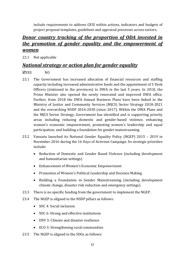include requirements to address GESI within actions, indicators and budgets of project proposal templates, guidelines and appraisal processes across sectors.

### <span id="page-36-0"></span>*Donor country tracking of the proportion of ODA invested in the promotion of gender equality and the empowerment of women*

22.1 Not applicable

#### <span id="page-36-1"></span>*National strategy or action plan for gender equality*

#### YES NO

- 23.1 The Government has increased allocation of financial resources and staffing capacity including increased administrative funds and the appointment of 5 Desk Officers (stationed in the provinces) to DWA in the last 5 years. In 2018, the Prime Minister also opened the newly renovated and improved DWA office. Further, from 2018 the DWA Annual Business Plans have been linked to the Ministry of Justice and Community Services (MJCS) Sector Strategy 2018-2021 and the overarching NSDP 2016-2030 (since 2017). Within the DWA Plans and the MJCS Sector Strategy, Government has identified and is supporting priority areas including reducing domestic and gender-based violence, enhancing women's economic empowerment, promoting women's leadership and equal participation; and building a foundation for gender mainstreaming.
- 23.2 Vanuatu launched its National Gender Equality Policy (NGEP) 2015 2019 in November 2016 during the 16 Days of Activism Campaign. Its strategic priorities include:
	- Reduction of Domestic and Gender Based Violence (including development and humanitarian settings)
	- Enhancement of Women's Economic Empowerment
	- Promotion of Women's Political Leadership and Decision Making
	- Building a Foundation in Gender Mainstreaming (including development climate change, disaster risk reduction and emergency settings).
- 23.3 There is no specific funding from the government to implement the NGEP.
- 23.4 The NGEP is aligned to the NSDP pillars as follows:
	- SOC 4: Social inclusion
	- SOC 6: Strong and effective institutions
	- ENV 3: Climate and disaster resilience
	- ECO 3: Strengthening rural communities
- 23.5 The NGEP is aligned to the SDGs as follows: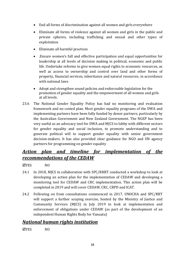- End all forms of discrimination against all women and girls everywhere
- Eliminate all forms of violence against all women and girls in the public and private spheres, including trafficking and sexual and other types of exploitation
- Eliminate all harmful practices
- .Ensure women's full and effective participation and equal opportunities for leadership at all levels of decision making in political, economic and public life. Undertake reforms to give women equal rights to economic resources, as well as access to ownership and control over land and other forms of property, financial services, inheritance and natural resources, in accordance with national laws
- Adopt and strengthen sound policies and enforceable legislation for the promotion of gender equality and the empowerment of all women and girls at all levels.
- 23.6 The National Gender Equality Policy has had no monitoring and evaluation framework and no costed plan. Most gender equality programs of the DWA and implementing partners have been fully funded by donor partners, particularly by the Australian Government and New Zealand Government. The NGEP has been very useful as an advocacy tool for DWA and MJCS to lobby with different sectors for gender equality and social inclusion, to promote understanding and to generate political will to support gender equality with senior government decision-makers. It has also provided clear guidance for NGO and UN agency partners for programming on gender equality

### <span id="page-37-0"></span>*Action plan and timeline for implementation of the recommendations of the CEDAW*

YES NO

- 24.1 In 2018, MJCS in collaboration with SPC/RRRT conducted a workshop to look at developing an action plan for the implementation of CEDAW and developing a monitoring tool for CEDAW and CRC implementation. This action plan will be completed in 2019 and will cover CEDAW, CRC, CRPD and ICAT.
- 24.2 Following on from consultations commenced in 2017, UNOCHA and SPC/RRT will support a further scoping exercise, hosted by the Ministry of Justice and Community Services (MJCS) in July 2019 to look at implementation and enforcement of obligations under CEDAW (as part of the development of an independent Human Rights Body for Vanuatu)

#### <span id="page-37-1"></span>*National human rights institution*

YES NO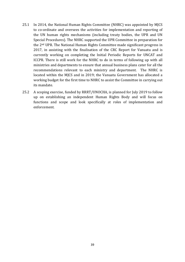- 25.1 In 2014, the National Human Rights Committee (NHRC) was appointed by MJCS to co-ordinate and oversees the activities for implementation and reporting of the UN human rights mechanisms (including treaty bodies, the UPR and UN Special Procedures). The NHRC supported the UPR Committee in preparation for the 2nd UPR. The National Human Rights Committee made significant progress in 2017, in assisting with the finalisation of the CRC Report for Vanuatu and is currently working on completing the Initial Periodic Reports for UNCAT and ICCPR. There is still work for the NHRC to do in terms of following up with all ministries and departments to ensure that annual business plans cater for all the recommendations relevant to each ministry and department. The NHRC is located within the MJCS and in 2019; the Vanuatu Government has allocated a working budget for the first time to NHRC to assist the Committee in carrying out its mandate.
- 25.2 A scoping exercise, funded by RRRT/UNOCHA, is planned for July 2019 to follow up on establishing an independent Human Rights Body and will focus on functions and scope and look specifically at roles of implementation and enforcement.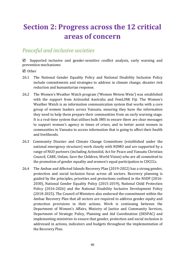# <span id="page-39-0"></span>**Section 2: Progress across the 12 critical areas of concern**

#### *Peaceful and inclusive societies*

 $\boxtimes$  Supported inclusive and gender-sensitive conflict analysis, early warning and prevention mechanisms

**Ø** Other

- 26.1 The National Gender Equality Policy and National Disability Inclusion Policy include commitments and strategies to address in climate change, disaster risk reduction and humanitarian response.
- 26.2 The Women's Weather Watch program ('Women Wetem Weta') was established with the support from ActionAid Australia and FemLINK Fiji. The Women's Weather Watch is an information communication system that works with a core group of women leaders across Vanuatu, ensuring they have the information they need to help them prepare their communities from an early warning stage. It is a real-time system that utilises bulk SMS to ensure there are clear messages to support women's agency in times of crises, and to better assist women in communities in Vanuatu to access information that is going to affect their health and livelihoods.
- 26.3 Community Disaster and Climate Change Committees (established under the national emergency structure) work closely with NDMO and are supported by a range of NGO partners (including ActionAid, Act for Peace and Vanuatu Christian Council, CARE, Oxfam, Save the Children, World Vision) who are all committed to the promotion of gender equality and women's equal participation in CDCCCs.
- 26.4 The Ambae and Affected Islands Recovery Plan (2019-2022) has a strong gender, protection and social inclusion focus across all sectors. Recovery planning is guided by the principles, priorities and protections outlined in the NSDP (2016- 2030), National Gender Equality Policy (2015-2019), National Child Protection Policy (2016-2026) and the National Disability Inclusive Development Policy (2018-2025). The Council of Ministers also endorsed the commitment within the Ambae Recovery Plan that all sectors are required to address gender equity and protection provisions in their actions. Work is continuing between the Department of Women's Affairs, Ministry of Justice and Community Services, Department of Strategic Policy, Planning and Aid Coordination (DESPAC) and implementing ministries to ensure that gender, protection and social inclusion is addressed in actions, indicators and budgets throughout the implementation of the Recovery Plan.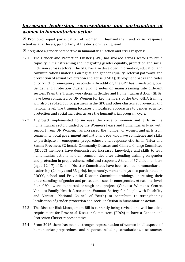### <span id="page-40-0"></span>*Increasing leadership, representation and participation of women in humanitarian action*

 $\boxtimes$  Promoted equal participation of women in humanitarian and crisis response activities at all levels, particularly at the decision-making level

 $\boxtimes$  Integrated a gender perspective in humanitarian action and crisis response

- 27.1 The Gender and Protection Cluster (GPC) has worked across sectors to build capacity in mainstreaming and integrating gender equality, protection and social inclusion across sectors. The GPC has also developed information, education and communications materials on rights and gender equality, referral pathways and prevention of sexual exploitation and abuse (PSEA); deployment packs and codes of conduct for emergency responders. In addition, the GPC has translated global Gender and Protection Cluster guiding notes on mainstreaming into different sectors. Train the Trainer workshops in Gender and Humanitarian Action (GIHA) have been conducted by UN Women for key members of the GPC. GIHA training will also be rolled out for partners in the GPC and other clusters at provincial and national level. The training focusses on localised approaches to gender equality, protection and social inclusion across the humanitarian program cycle.
- 27.2 A project implemented to increase the voice of women and girls in the humanitarian sector, funded by the Women's Peace and Humanitarian Fund with support from UN Women, has increased the number of women and girls from community, local government and national CSOs who have confidence and skills to participate in emergency preparedness and response efforts. In Tafea and Sanma Provinces 32 female Community Disaster and Climate Change Committee (CDCCC) members have demonstrated increased knowledge and skills to lead humanitarian actions in their communities after attending training on gender and protection in preparedness, relief and response. A total of 57 child members (aged 12-17) of School Disaster Committees have been trained in humanitarian leadership (24 boys and 33 girls). Importantly, men and boys also participated in CDCCC, school and Provincial Disaster Committee trainings; increasing their understandings of gender and protection issues in emergencies. At national level, four CSOs were supported through the project (Vanuatu Women's Centre, Vanuatu Family Health Association, Vanuatu Society for People with Disability and Vanuatu National Council of Youth) to contribute to strengthening localisation of gender, protection and social inclusion in humanitarian action.
- 27.3 The Disaster Risk Management Bill is currently being revised and will include a requirement for Provincial Disaster Committees (PDCs) to have a Gender and Protection Cluster representative.
- 27.4 From 2016 there has been a stronger representation of women in all aspects of humanitarian preparedness and response, including consultations, assessments,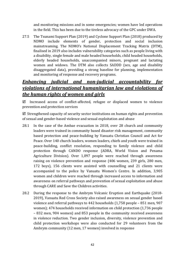and monitoring missions and in some emergencies; women have led operations in the field. This has been due to the tireless advocacy of the GPC under DWA.

27.5 The Tsunami Support Plan (2019) and Cyclone Support Plan (2018) produced by NDMO include elements of gender, protection and social inclusion mainstreaming. The NDMO's National Displacement Tracking Matrix (DTM), finalised in 2019 also includes vulnerability categories such as people living with a disability, single female and male headed households, child headed households, elderly headed households, unaccompanied minors, pregnant and lactating women and widows. The DTM also collects SADDD (sex, age and disability disaggregated data), providing a strong baseline for planning, implementation and monitoring of response and recovery programs.

### <span id="page-41-0"></span>*Enhancing judicial and non-judicial accountability for violations of international humanitarian law and violations of the human rights of women and girls*

 $\boxtimes$  Increased access of conflict-affected, refugee or displaced women to violence prevention and protection services

 $\boxtimes$  Strengthened capacity of security sector institutions on human rights and prevention of sexual and gender-based violence and sexual exploitation and abuse

- 28.1 In the case of the Ambae evacuation in 2018, over 28 church and community leaders were trained in community based disaster risk management, community based protection and peace-building by Vanuatu Christian Council and Act for Peace. Over 140 church leaders, women leaders, chiefs and youth were trained in peace-building, conflict resolution, responding to family violence and child protection through CANDO response (ADRA, World Vision and Penama Agriculture Division). Over 1,097 people were reached through awareness raising on violence prevention and response (406 women, 239 girls, 280 men, 172 boys), 156 clients were assisted with counselling and 21 clients were accompanied to the police by Vanuatu Women's Centre. In addition, 3,905 women and children were reached through increased access to information and awareness on referral pathways and prevention of sexual exploitation and abuse through CARE and Save the Children activities.
- 28.2 During the response to the Ambrym Volcanic Eruption and Earthquake (2018- 2019), Vanuatu Red Cross Society also raised awareness on sexual gender based violence and referral pathways to 442 households (1,758 people – 851 men, 907 women); 474 households received information on child protection (1,736 people – 832 men, 904 women) and 853 people in the community received awareness in violence reduction. Two gender inclusion, diversity, violence prevention and child protection workshops were also conducted for 29 volunteers from the Ambrym community (12 men, 17 women) involved in response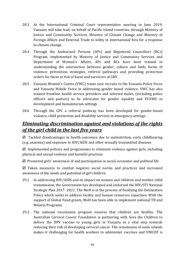- 28.3 At the International Criminal Court representative meeting in June 2019, Vanuatu will take lead, on behalf of Pacific Island countries, through Ministry of Justice and Community Services, Ministry of Climate Change and Ministry of Foreign Affairs and External Trade to lobby in international fora for a response to climate change.
- 28.4 Through the Authorised Persons (APs) and Registered Councillors (RCs) Program, implemented by Ministry of Justice and Community Services and Department of Women's Affairs, APs and RCs have been trained in understanding the intersection between gender, culture and faith; forms of violence; prevention strategies, referral pathways and providing protection orders for those at risk of harm and survivors of GBV.
- 28.5 Vanuatu Women's Centre (VWC) trains new recruits to the Vanuatu Police Force and Vanuatu Mobile Force in addressing gender based violence. VWC has also trained frontline health service providers and selected males, (including police officers and pastors) to be advocates for gender equality and EVAWG in development and humanitarian settings.
- 28.6 Through the GPC a referral pathway has been developed for gender-based violence, child protection and disability services in emergency settings.

### <span id="page-42-0"></span>*Eliminating discrimination against and violations of the rights of the girl child in the last five years*

 $\boxtimes$  Tackled disadvantages in health outcomes due to malnutrition, early childbearing (e.g. anaemia) and exposure to HIV/AIDS and other sexually transmitted diseases

 $\boxtimes$  Implemented policies and programmes to eliminate violence against girls, including physical and sexual violence and harmful practices

 $\boxtimes$  Promoted girls' awareness of and participation in social, economic and political life

 $\boxtimes$  Taken measures to combat negative social norms and practices and increased awareness of the needs and potential of girl children

- 29.1 In addressing HIV/AIDS and its impact on women and children and mother-child transmission, the Government has developed and endorsed the HIV/STI National Strategic Plan 2017- 2021. The MoH is in the process of finalizing the Delineation Policy which seeks to address facility and human resources capacities. With the support of Global Fund grants, MoH has been able to implement national TB and Malaria Programs.
- 29.2 The national vaccination program ensures that children are healthy. The Australian Cervical Cancer Foundation is partnering with Save the Children to deliver the HPV vaccine to young girls in Vanuatu in a vital step towards reducing their risk of developing cervical cancer. The remoteness of some islands makes it challenging for health workers to administer vaccines and UNICEF is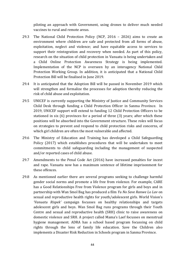piloting an approach with Government, using drones to deliver much needed vaccines to rural and remote areas.

- 29.3 The National Child Protection Policy (NCP, 2016 2026) aims to create an environment where children are safe and protected from all forms of abuse, exploitation, neglect and violence; and have equitable access to services to support their reintegration and recovery when needed. As part of this policy, research on the situation of child protection in Vanuatu is being undertaken and a Child Online Protection Awareness Strategy is being implemented. Implementation of the NCP is overseen by an interagency National Child Protection Working Group. In addition, it is anticipated that a National Child Protection Bill will be finalised in June 2019.
- 29.4 It is anticipated that the Adoption Bill will be passed in November 2019 which will strengthen and formalize the processes for adoption thereby reducing the risk of child abuse and exploitation.
- 29.5 UNICEF is currently supporting the Ministry of Justice and Community Services Child Desk through funding a Child Protection Officer in Sanma Province. In 2019, UNICEF support will extend to funding 12 Child Protection Officers to be stationed in six (6) provinces for a period of three (3) years; after which these positions will be absorbed into the Government structure. These roles will focus on strategies to prevent and respond to child protection risks and concerns, of which girl children are often the most vulnerable and affected.
- 29.6 The Ministry of Education and Training has developed a Child Safeguarding Policy (2017) which establishes procedures that will be undertaken to meet commitments to child safeguarding including the management of suspected and/or reported cases of child abuse.
- 29.7 Amendments to the Penal Code Act (2016) have increased penalties for incest and rape. Vanuatu now has a maximum sentence of lifetime imprisonment for these offences.
- 29.8 As mentioned earlier there are several programs seeking to challenge harmful gender social norms and promote a life free from violence. For example, CARE has a Good Relationships Free from Violence program for girls and boys and in partnership with Wan Smol Bag has produced a film *Yu No Save Ranwe Lo Lav* on sexual and reproductive health rights for youth/adolescent girls. World Vision's *'Vanuatu Rispek'* campaign focusses on healthy relationships and targets adolescent girls and boys. Wan Smol Bag runs programs through their Youth Centre and sexual and reproductive health (SRH) clinic to raise awareness on domestic violence and SRH. A project called Mama's Laef focusses on menstrual hygiene management. ADRA has a school based program focussing on child rights through the lens of family life education. Save the Children also implements a Disaster Risk Reduction in Schools program in Sanma Province.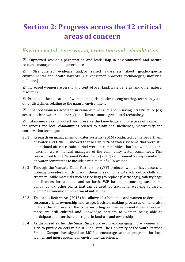# <span id="page-44-0"></span>**Section 2: Progress across the 12 critical areas of concern**

#### <span id="page-44-1"></span>*Environmental conservation, protection and rehabilitation*

 $\boxtimes$  Supported women's participation and leadership in environmental and natural resource management and governance

 $\boxtimes$  Strengthened evidence and/or raised awareness about gender-specific environmental and health hazards (e.g. consumer products, technologies, industrial pollution)

 $\boxtimes$  Increased women's access to and control over land, water, energy, and other natural resources

 $\boxtimes$  Promoted the education of women and girls in science, engineering, technology and other disciplines relating to the natural environment

 $\boxtimes$  Enhanced women's access to sustainable time- and labour-saving infrastructure (e.g. access to clean water and energy) and climate-smart agricultural technology

 $\boxtimes$  Taken measures to protect and preserve the knowledge and practices of women in indigenous and local communities related to traditional medicines, biodiversity and conservation techniques

- 30.1 Research on management of water systems (2016) conducted by the Department of Water and UNICEF showed that nearly 70% of water systems that were still operational after a certain period were in communities that had women as the heads or were financial managers of the community water committees. This research led to the National Water Policy (2017) requirement for representation on water committees to include a minimum of 40% women.
- 30.2 Through the Vanuatu Skills Partnership (VSP) projects, women have access to training providers which up-skill them to sew home artefacts out of cloth and create reusable materials such as rice bags (to replace plastic bags), toiletry bags, pencil cases for students and so forth. VSP has been sourcing sustainable pandanus and other plants that can be used for traditional weaving as part of women's economic empowerment initiatives.
- 30.3 The Lands Reform Act (2013) has allowed for both men and women to decide on customary land ownership and usage. Decision making processes on land also include the approval of the tribe including women representatives. However, there are still cultural and knowledge barriers to women being able to participate and exercise their rights in land use and ownership.
- 30.4 As discussed earlier the Smart Sistas project is encouraging more women and girls to pursue careers in the ICT industry. The University of the South Pacific's Emalus Campus has signed an MOU to encourage science programs for both women and men especially in environmental science.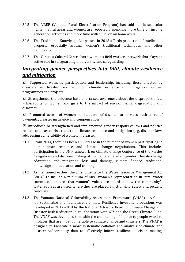- 30.5 The VREP (Vanuatu Rural Electrification Program) has sold subsidised solar lights in rural areas and women are reportedly spending more time on income generation activities and more time with children on homework.
- 30.6 The Traditional Knowledge Act passed in 2018 affords protection of intellectual property especially around women's traditional techniques and other handicrafts.
- 30.7 The Vanuatu Cultural Centre has a women's field workers network that plays an active role in safeguarding biodiversity and safeguarding.

#### <span id="page-45-0"></span>*Integrating gender perspectives into DRR, climate resilience and mitigation*

 $\boxtimes$  Supported women's participation and leadership, including those affected by disasters, in disaster risk reduction, climate resilience and mitigation policies, programmes and projects

 $\boxtimes$  Strengthened the evidence base and raised awareness about the disproportionate vulnerability of women and girls to the impact of environmental degradation and disasters

 $\nabla$  Promoted access of women in situations of disaster to services such as relief payments, disaster insurance and compensation

 $\boxtimes$  Introduced or strengthened and implemented gender-responsive laws and policies related to disaster risk reduction, climate resilience and mitigation (e.g. disaster laws addressing vulnerability of women in disaster)

- 31.1 From 2014, there has been an increase in the number of women participating in humanitarian response and climate change negotiations. This includes participation in the UN Framework on Climate Change Conference of the Parties delegations and decision making at the national level on gender, climate change adaptation and mitigation, loss and damage, climate finance, traditional knowledge and education and training.
- 31.2 As mentioned earlier, the amendments to the Water Resource Management Act (2016) to include a minimum of 40% women's representation in rural water committees ensures that women's voices are heard in how the community's water sources are used, where they are placed, functionality, safety and security concerns.
- 31.3 The Vanuatu National Vulnerability Assessment Framework (VNAF) A Guide for Sustainable and Transparent Climate Resilience Investment Decisions was developed in 2017-2018 by the National Advisory Board on Climate Change and Disaster Risk Reduction in collaboration with GIZ and the Green Climate Fund. The VNAF was developed to enable the channelling of finance to people who live in places that are most vulnerable to climate change and disasters. The VNAF is designed to facilitate a more systematic collation and analysis of climate and disaster vulnerability data to effectively inform resilience decision making,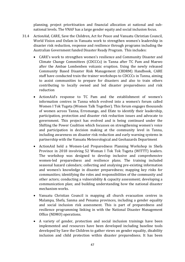planning, project prioritisation and financial allocation at national and subnational levels. The VNAF has a large gender equity and social inclusion focus.

- 31.4 ActionAid, CARE, Save the Children, Act for Peace and Vanuatu Christian Council, World Vision and Oxfam in Vanuatu work to strengthen women's leadership in disaster risk reduction, response and resilience through programs including the Australian Government funded Disaster Ready Program. This includes:
	- CARE's work to strengthen women's resilience and Community Disaster and Climate Change Committees (CDCCCs) in Tanna after TC Pam and Maewo after the Ambae Lombenben volcanic eruption. Using the newly released Community Based Disaster Risk Management (CBDRM) Handbook, CARE staff have conducted train the trainer workshops to CDCCCs in Tanna, aiming to assist communities to prepare for disasters and also to train others contributing to locally owned and led disaster preparedness and risk reduction
	- ActionAid's response to TC Pam and the establishment of women's information centres in Tanna which evolved into a women's forum called Women I Tok Tugeta (Women Talk Together). This forum engages thousands of women across Tanna, Erromango, and Efate to identify their leadership, participation, protection and disaster risk reduction issues and advocate to government. This project has evolved and is being continued under the Shifting the Power Coalition which focusses on strengthening women's voice and participation in decision making at the community level in Tanna, including awareness on disaster risk reduction and early warning systems in partnership with the Vanuatu Meteorological and Geohazards Department
	- ActionAid held a Women-Led Preparedness Planning Workshop in Shefa Province in 2018 involving 52 Woman I Tok Tok Tugeta (WITTT) leaders. The workshop was designed to develop inclusive and comprehensive women-led preparedness and resilience plans. The training included seasonal hazard calendars; collecting and analysing pre-existing information and women's knowledge in disaster preparedness; mapping key risks for communities; identifying the roles and responsibilities of the community and other actors; conducting a vulnerability & capacity assessment; developing a communication plan; and building understanding how the national disaster mechanism works.
	- Vanuatu Christian Council is mapping all church evacuation centres in Malampa, Shefa, Sanma and Penama provinces, including a gender equality and social inclusion risk assessment. This is part of preparedness and resilience programming linking in with the National Disaster Management Office (NDMO) operations.
	- A variety of gender, protection and social inclusion trainings have been implemented and resources have been developed including baseline tools developed by Save the Children to gather views on gender equality, disability inclusion and child protection within disaster preparedness. It has been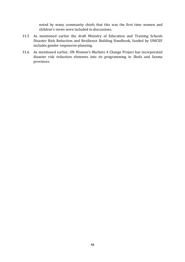noted by many community chiefs that this was the first time women and children's views were included in discussions.

- 31.5 As mentioned earlier the draft Ministry of Education and Training Schools Disaster Risk Reduction and Resilience Building Handbook, funded by UNICEF includes gender responsive planning.
- 31.6 As mentioned earlier, UN Women's Markets 4 Change Project has incorporated disaster risk reduction elements into its programming in Shefa and Sanma provinces.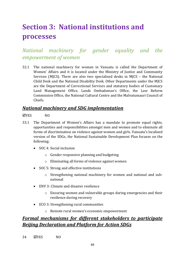# <span id="page-48-0"></span>**Section 3: National institutions and processes**

## <span id="page-48-1"></span>*National machinery for gender equality and the empowerment of women*

32.1 The national machinery for women in Vanuatu is called the Department of Women' Affairs and it is located under the Ministry of Justice and Community Services (MJCS). There are also two specialised desks in MJCS – the National Child Desk and the National Disability Desk. Other Departments under the MJCS are the Department of Correctional Services and statutory bodies of Customary Land Management Office, Lands Ombudsman's Office, the Law Reform Commission Office, the National Cultural Centre and the Malvatumauri Council of Chiefs.

#### <span id="page-48-2"></span>*National machinery and SDG implementation*

- $W = WQ$
- 33.1 The Department of Women's Affairs has a mandate to promote equal rights, opportunities and responsibilities amongst men and women and to eliminate all forms of discrimination on violence against women and girls. Vanuatu's localised version of the SDGs, the National Sustainable Development Plan focuses on the following;
	- SOC 4: Social inclusion
		- o Gender responsive planning and budgeting
		- o Eliminating all forms of violence against women
	- SOC 5: Strong and effective institutions
		- o Strengthening national machinery for women and national and subnational
	- ENV 3: Climate and disaster resilience
		- o Ensuring women and vulnerable groups during emergencies and their resilience during recovery
	- ECO 3: Strengthening rural communities
		- o Remote rural women's economic empowerment

#### <span id="page-48-3"></span>*Formal mechanisms for different stakeholders to participate Beijing Declaration and Platform for Action SDGs*

34 **EXPLASES** NO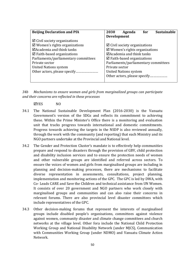| <b>Beijing Declaration and PfA</b>       | <b>Sustainable</b><br>2030<br>for<br>Agenda |
|------------------------------------------|---------------------------------------------|
|                                          | <b>Development</b>                          |
| $\boxtimes$ Civil society organizations  |                                             |
| $\boxtimes$ Women's rights organizations | $\boxtimes$ Civil society organizations     |
| $\Box$ Academia and think tanks          | $\boxtimes$ Women's rights organizations    |
| $\boxtimes$ Faith-based organizations    | $\Box$ Academia and think tanks             |
| Parliaments/parliamentary committees     | $\boxtimes$ Faith-based organizations       |
| Private sector                           | Parliaments/parliamentary committees        |
| <b>United Nations system</b>             | Private sector                              |
|                                          | <b>United Nations system</b>                |
|                                          | Other actors, please specify                |
|                                          |                                             |

*34b Mechanisms to ensure women and girls from marginalized groups can participate and their concerns are reflected in these processes*

YES NO

- 34.1 The National Sustainable Development Plan (2016-2030) is the Vanuatu Government's version of the SDGs and reflects its commitment to achieving these. Within the Prime Minister's Office there is a monitoring and evaluation unit that tracks progress towards international and domestic commitments. Progress towards achieving the targets in the NSDP is also reviewed annually, through the work with the community (and reporting) that each Ministry and its NGO partners undertake at the Provincial and National level.
- 34.2 The Gender and Protection Cluster's mandate is to effectively help communities prepare and respond to disasters through the provision of GBV, child protection and disability inclusion services and to ensure the protection needs of women and other vulnerable groups are identified and referred across sectors. To ensure the voices of women and girls from marginalised groups are including in planning and decision-making processes, there are mechanisms to facilitate diverse representation in assessments, consultations, project planning, implementation and monitoring actions of the GPC. The GPC is led by DWA, with Co- Leads CARE and Save the Children and technical assistance from UN Women. It consists of over 20 government and NGO partners who work closely with marginalised groups and communities and can also raise their concerns in relevant forums. There are also provincial level disaster committees which include representatives of the GPC.
- 34.3 Other decision-making forums that represent the interests of marginalised groups include disabled people's organisations, committees against violence against women, community disaster and climate change committees and church networks at the village level. Other fora include the National Child Protection Working Group and National Disability Network (under MJCS), Communication with Communities Working Group (under NDMO) and Vanuatu Climate Action Network.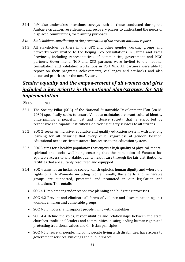- 34.4 IoM also undertakes intentions surveys such as those conducted during the Ambae evacuation, resettlement and recovery phases to understand the needs of displaced communities, for planning purposes.
- *34c Stakeholders contributing to the preparation of the present national report:*
- 34.5 All stakeholder partners in the GPC and other gender working groups and networks were invited to the Beijing+ 25 consultations in Sanma and Tafea Provinces, including representatives of communities, government and NGO partners. Government, NGO and CSO partners were invited to the national consultation and validation workshops in Port Vila. All partners were able to report on their programs achievements, challenges and set-backs and also discussed priorities for the next 5 years.

### <span id="page-50-0"></span>*Gender equality and the empowerment of all women and girls included a key priority in the national plan/strategy for SDG implementation*

YES NO

- 35.1 The Society Pillar (SOC) of the National Sustainable Development Plan (2016- 2030) specifically seeks to ensure Vanuatu maintains a vibrant cultural identity underpinning a peaceful, just and inclusive society that is supported by responsive and capable institutions, delivering quality services to all citizens.
- 35.2 SOC 2 seeks an inclusive, equitable and quality education system with life-long learning for all ensuring that every child, regardless of gender, location, educational needs or circumstances has access to the education system.
- 35.3 SOC 3 aims for a healthy population that enjoys a high quality of physical, mental, spiritual and social well-being ensuring that the population of Vanuatu has equitable access to affordable, quality health care through the fair distribution of facilities that are suitably resourced and equipped.
- 35.4 SOC 4 aims for an inclusive society which upholds human dignity and where the rights of all Ni-Vanuatu including women, youth, the elderly and vulnerable groups are supported, protected and promoted in our legislation and institutions. This entails:
	- SOC 4.1 Implement gender responsive planning and budgeting processes
	- SOC 4.2 Prevent and eliminate all forms of violence and discrimination against women, children and vulnerable groups
	- SOC 4.3 Empower and support people living with disabilities
	- SOC 4.4 Define the roles, responsibilities and relationships between the state, churches, traditional leaders and communities in safeguarding human rights and protecting traditional values and Christian principles
	- SOC 4.5 Ensure all people, including people living with disabilities, have access to government services, buildings and public spaces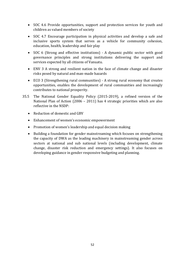- SOC 4.6 Provide opportunities, support and protection services for youth and children as valued members of society
- SOC 4.7 Encourage participation in physical activities and develop a safe and inclusive sports system that serves as a vehicle for community cohesion, education, health, leadership and fair play
- SOC 6 (Strong and effective institutions) A dynamic public sector with good governance principles and strong institutions delivering the support and services expected by all citizens of Vanuatu.
- ENV 3 A strong and resilient nation in the face of climate change and disaster risks posed by natural and man-made hazards
- ECO 3 (Strengthening rural communities) A strong rural economy that creates opportunities, enables the development of rural communities and increasingly contributes to national prosperity.
- 35.5 The National Gender Equality Policy (2015-2019), a refined version of the National Plan of Action (2006 – 2011) has 4 strategic priorities which are also reflective in the NSDP:
	- Reduction of domestic and GBV
	- Enhancement of women's economic empowerment
	- Promotion of women's leadership and equal decision making
	- Building a foundation for gender mainstreaming which focuses on strengthening the capacity of DWA as the leading machinery in mainstreaming gender across sectors at national and sub national levels (including development, climate change, disaster risk reduction and emergency settings). It also focuses on developing guidance in gender responsive budgeting and planning.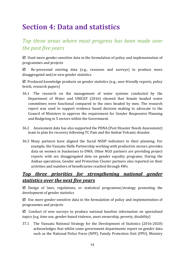# <span id="page-52-0"></span>**Section 4: Data and statistics**

<span id="page-52-1"></span>*Top three areas where most progress has been made over the past five years*

 $\boxtimes$  Used more gender-sensitive data in the formulation of policy and implementation of programmes and projects

 $\boxtimes$  Re-processed existing data (e.g., censuses and surveys) to produce more disaggregated and/or new gender statistics

 $\boxtimes$  Produced knowledge products on gender statistics (e.g., user-friendly reports, policy briefs, research papers)

- 36.1 The research on the management of water systems conducted by the Department of Water and UNICEF (2016) showed that female headed water committees were functional compared to the ones headed by men. The research report was used to support evidence based decision making to advocate to the Council of Ministers to approve the requirement for Gender Responsive Planning and Budgeting in 5 sectors within the Government.
- 36.2 Assessment data has also supported the PDNA (Post Disaster Needs Assessment) team to plan for recovery following TC Pam and the Ambae Volcanic disaster.
- 36.3 Many partners have aligned the Social NSDP indicators to their planning. For example, the Vanuatu Skills Partnership working with productive sectors provides data on women in businesses to DWA. Other NGO partners are providing project reports with sex disaggregated data on gender equality programs. During the Ambae operations, Gender and Protection Cluster partners also reported on their activities and numbers of beneficiaries reached through 4Ws.

#### <span id="page-52-2"></span>*Top three priorities for strengthening national gender statistics over the next five years*

 $\boxtimes$  Design of laws, regulations, or statistical programme/strategy promoting the development of gender statistics

 $\boxtimes$  Use more gender-sensitive data in the formulation of policy and implementation of programmes and projects

 $\boxtimes$  Conduct of new surveys to produce national baseline information on specialized topics (e.g. time use, gender-based violence, asset ownership, poverty, disability)

37.1 The Vanuatu National Strategy for the Development of Statistics (2016-2020) acknowledges that whilst some government departments report on gender data such as the National Police Force (NPF), Family Protection Unit (FPU), Ministry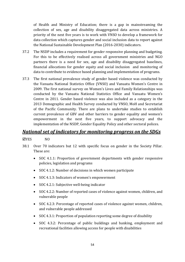of Health and Ministry of Education; there is a gap in mainstreaming the collection of sex, age and disability disaggregated data across ministries. A priority of the next five years is to work with VNSO to develop a framework for data collection which captures gender and social inclusion data to report against the National Sustainable Development Plan (2016-2030) indicators.

- 37.2 The NSDP includes a requirement for gender responsive planning and budgeting. For this to be effectively realised across all government ministries and NGO partners there is a need for sex, age and disability disaggregated baselines, financial allocations for gender equity and social inclusion and monitoring of data to contribute to evidence based planning and implementation of programs.
- 37.3 The first national prevalence study of gender based violence was conducted by the Vanuatu National Statistics Office (VNSO) and Vanuatu Women's Centre in 2009. The first national survey on Women's Lives and Family Relationships was conducted by the Vanuatu National Statistics Office and Vanuatu Women's Centre in 2011. Gender based violence was also included as a category in the 2013 Demographic and Health Survey conducted by VNSO, MoH and Secretariat of the Pacific Community. There are plans to undertake studies to establish current prevalence of GBV and other barriers to gender equality and women's empowerment in the next five years, to support advocacy and the implementation of the NSDP, Gender Equality Policy and other sectoral polices.

#### <span id="page-53-0"></span>*National set of indicators for monitoring progress on the SDGs*

#### **EXTREM**<br>  $NQ$

- 38.1 Over 70 indicators but 12 with specific focus on gender in the Society Pillar. These are:
	- SOC 4.1.1: Proportion of government departments with gender responsive policies, legislation and programs
	- SOC 4.1.2: Number of decisions in which women participate
	- SOC 4.1.3: Indicators of women's empowerment
	- SOC 4.2.1: Subjective well-being indicator
	- SOC 4.2.2: Number of reported cases of violence against women, children, and vulnerable people
	- SOC 4.2.3: Percentage of reported cases of violence against women, children, and vulnerable people addressed
	- SOC 4.3.1: Proportion of population reporting some degree of disability
	- SOC 4.3.2: Percentage of public buildings and banking, employment and recreational facilities allowing access for people with disabilities